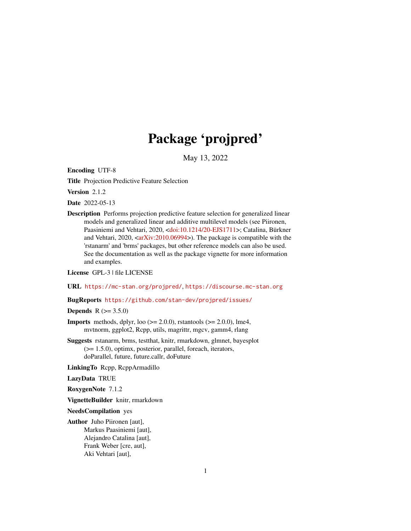# Package 'projpred'

May 13, 2022

<span id="page-0-0"></span>Encoding UTF-8

Title Projection Predictive Feature Selection

Version 2.1.2

Date 2022-05-13

Description Performs projection predictive feature selection for generalized linear models and generalized linear and additive multilevel models (see Piironen, Paasiniemi and Vehtari, 2020, [<doi:10.1214/20-EJS1711>](https://doi.org/10.1214/20-EJS1711); Catalina, Bürkner and Vehtari,  $2020$ ,  $\langle \text{arXiv:} 2010.06994 \rangle$ ). The package is compatible with the 'rstanarm' and 'brms' packages, but other reference models can also be used. See the documentation as well as the package vignette for more information and examples.

License GPL-3 | file LICENSE

URL <https://mc-stan.org/projpred/>, <https://discourse.mc-stan.org>

BugReports <https://github.com/stan-dev/projpred/issues/>

**Depends**  $R (= 3.5.0)$ 

- **Imports** methods, dplyr, loo  $(>= 2.0.0)$ , rstantools  $(>= 2.0.0)$ , lme4, mvtnorm, ggplot2, Rcpp, utils, magrittr, mgcv, gamm4, rlang
- Suggests rstanarm, brms, testthat, knitr, rmarkdown, glmnet, bayesplot (>= 1.5.0), optimx, posterior, parallel, foreach, iterators, doParallel, future, future.callr, doFuture

LinkingTo Rcpp, RcppArmadillo

LazyData TRUE

RoxygenNote 7.1.2

VignetteBuilder knitr, rmarkdown

NeedsCompilation yes

Author Juho Piironen [aut], Markus Paasiniemi [aut], Alejandro Catalina [aut], Frank Weber [cre, aut], Aki Vehtari [aut],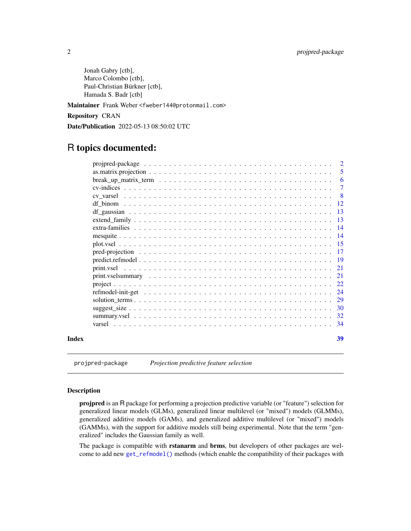<span id="page-1-0"></span>Jonah Gabry [ctb], Marco Colombo [ctb], Paul-Christian Bürkner [ctb], Hamada S. Badr [ctb]

Maintainer Frank Weber <fweber144@protonmail.com>

Repository CRAN

Date/Publication 2022-05-13 08:50:02 UTC

# R topics documented:

|       | $\overline{2}$  |
|-------|-----------------|
|       | 5               |
|       | 6               |
|       | $\tau$          |
|       | - 8             |
|       |                 |
|       | -13             |
|       | $\overline{13}$ |
|       | $\overline{14}$ |
|       |                 |
|       |                 |
|       | $-17$           |
|       |                 |
|       | 21              |
|       |                 |
|       |                 |
|       | 24              |
|       | 29              |
|       |                 |
|       |                 |
|       | -34             |
| Index | 39              |

projpred-package *Projection predictive feature selection*

# Description

projpred is an R package for performing a projection predictive variable (or "feature") selection for generalized linear models (GLMs), generalized linear multilevel (or "mixed") models (GLMMs), generalized additive models (GAMs), and generalized additive multilevel (or "mixed") models (GAMMs), with the support for additive models still being experimental. Note that the term "generalized" includes the Gaussian family as well.

The package is compatible with rstanarm and brms, but developers of other packages are welcome to add new [get\\_refmodel\(\)](#page-23-1) methods (which enable the compatibility of their packages with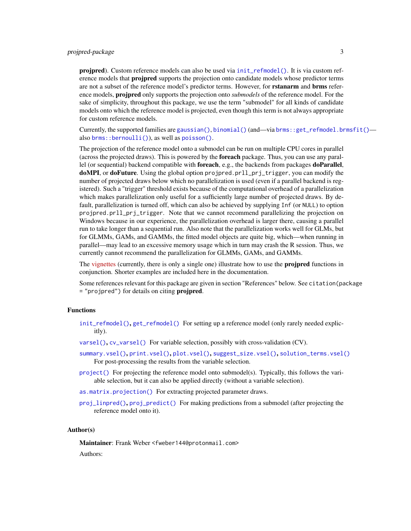# <span id="page-2-0"></span>projpred-package 3

projpred). Custom reference models can also be used via [init\\_refmodel\(\)](#page-23-1). It is via custom reference models that **projpred** supports the projection onto candidate models whose predictor terms are not a subset of the reference model's predictor terms. However, for **rstanarm** and **brms** reference models, projpred only supports the projection onto *submodels* of the reference model. For the sake of simplicity, throughout this package, we use the term "submodel" for all kinds of candidate models onto which the reference model is projected, even though this term is not always appropriate for custom reference models.

Currently, the supported families are [gaussian\(\)](#page-0-0), [binomial\(\)](#page-0-0) (and—via [brms::get\\_refmodel.brmsfit\(\)](#page-0-0) also [brms::bernoulli\(\)](#page-0-0)), as well as [poisson\(\)](#page-0-0).

The projection of the reference model onto a submodel can be run on multiple CPU cores in parallel (across the projected draws). This is powered by the **foreach** package. Thus, you can use any parallel (or sequential) backend compatible with foreach, e.g., the backends from packages doParallel, doMPI, or doFuture. Using the global option projpred.prll\_prj\_trigger, you can modify the number of projected draws below which no parallelization is used (even if a parallel backend is registered). Such a "trigger" threshold exists because of the computational overhead of a parallelization which makes parallelization only useful for a sufficiently large number of projected draws. By default, parallelization is turned off, which can also be achieved by supplying Inf (or NULL) to option projpred.prll\_prj\_trigger. Note that we cannot recommend parallelizing the projection on Windows because in our experience, the parallelization overhead is larger there, causing a parallel run to take longer than a sequential run. Also note that the parallelization works well for GLMs, but for GLMMs, GAMs, and GAMMs, the fitted model objects are quite big, which—when running in parallel—may lead to an excessive memory usage which in turn may crash the R session. Thus, we currently cannot recommend the parallelization for GLMMs, GAMs, and GAMMs.

The [vignettes](https://mc-stan.org/projpred/articles/) (currently, there is only a single one) illustrate how to use the **projpred** functions in conjunction. Shorter examples are included here in the documentation.

Some references relevant for this package are given in section "References" below. See citation(package = "projpred") for details on citing **projpred**.

#### Functions

- [init\\_refmodel\(\)](#page-23-1), [get\\_refmodel\(\)](#page-23-1) For setting up a reference model (only rarely needed explicitly).
- [varsel\(\)](#page-33-1), [cv\\_varsel\(\)](#page-7-1) For variable selection, possibly with cross-validation (CV).
- [summary.vsel\(\)](#page-31-1), [print.vsel\(\)](#page-20-1), [plot.vsel\(\)](#page-14-1), [suggest\\_size.vsel\(\)](#page-29-1), [solution\\_terms.vsel\(\)](#page-28-1) For post-processing the results from the variable selection.
- [project\(\)](#page-21-1) For projecting the reference model onto submodel(s). Typically, this follows the variable selection, but it can also be applied directly (without a variable selection).
- [as.matrix.projection\(\)](#page-4-1) For extracting projected parameter draws.
- [proj\\_linpred\(\)](#page-16-1), [proj\\_predict\(\)](#page-16-1) For making predictions from a submodel (after projecting the reference model onto it).

#### Author(s)

Maintainer: Frank Weber <fweber144@protonmail.com>

Authors: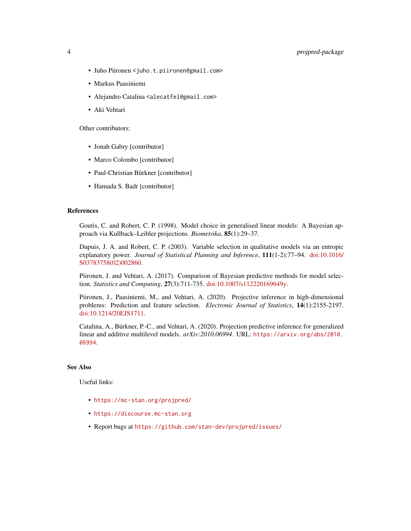# 4 projpred-package

- Juho Piironen <juho.t.piironen@gmail.com>
- Markus Paasiniemi
- Alejandro Catalina <alecatfel@gmail.com>
- Aki Vehtari

Other contributors:

- Jonah Gabry [contributor]
- Marco Colombo [contributor]
- Paul-Christian Bürkner [contributor]
- Hamada S. Badr [contributor]

#### References

Goutis, C. and Robert, C. P. (1998). Model choice in generalised linear models: A Bayesian approach via Kullback–Leibler projections. *Biometrika*, 85(1):29–37.

Dupuis, J. A. and Robert, C. P. (2003). Variable selection in qualitative models via an entropic explanatory power. *Journal of Statistical Planning and Inference*, 111(1-2):77–94. [doi:10.1016/](https://doi.org/10.1016/S0378-3758%2802%2900286-0) [S03783758\(02\)002860.](https://doi.org/10.1016/S0378-3758%2802%2900286-0)

Piironen, J. and Vehtari, A. (2017). Comparison of Bayesian predictive methods for model selection. *Statistics and Computing*, 27(3):711-735. [doi:10.1007/s112220169649y.](https://doi.org/10.1007/s11222-016-9649-y)

Piironen, J., Paasiniemi, M., and Vehtari, A. (2020). Projective inference in high-dimensional problems: Prediction and feature selection. *Electronic Journal of Statistics*, 14(1):2155-2197. [doi:10.1214/20EJS1711.](https://doi.org/10.1214/20-EJS1711)

Catalina, A., Bürkner, P.-C., and Vehtari, A. (2020). Projection predictive inference for generalized linear and additive multilevel models. *arXiv:2010.06994*. URL: [https://arxiv.org/abs/2010.](https://arxiv.org/abs/2010.06994) [06994](https://arxiv.org/abs/2010.06994).

#### See Also

Useful links:

- <https://mc-stan.org/projpred/>
- <https://discourse.mc-stan.org>
- Report bugs at <https://github.com/stan-dev/projpred/issues/>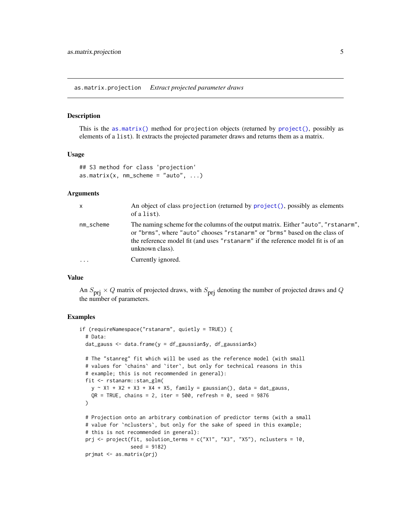<span id="page-4-1"></span><span id="page-4-0"></span>as.matrix.projection *Extract projected parameter draws*

#### Description

This is the [as.matrix\(\)](#page-0-0) method for projection objects (returned by  $project()$ , possibly as elements of a list). It extracts the projected parameter draws and returns them as a matrix.

#### Usage

```
## S3 method for class 'projection'
as.matrix(x, nm\_scheme = "auto", ...)
```
#### Arguments

| $\mathsf{x}$ | An object of class projection (returned by project(), possibly as elements<br>of a list).                                                                                                                                                                               |
|--------------|-------------------------------------------------------------------------------------------------------------------------------------------------------------------------------------------------------------------------------------------------------------------------|
| nm_scheme    | The naming scheme for the columns of the output matrix. Either "auto", "rstanarm",<br>or "brms", where "auto" chooses "rstanarm" or "brms" based on the class of<br>the reference model fit (and uses "rstanarm" if the reference model fit is of an<br>unknown class). |
| .            | Currently ignored.                                                                                                                                                                                                                                                      |

#### Value

An  $S_{\text{pri}} \times Q$  matrix of projected draws, with  $S_{\text{pri}}$  denoting the number of projected draws and Q the number of parameters.

#### Examples

```
if (requireNamespace("rstanarm", quietly = TRUE)) {
 # Data:
 dat_gauss <- data.frame(y = df_gaussian$y, df_gaussian$x)
 # The "stanreg" fit which will be used as the reference model (with small
 # values for `chains` and `iter`, but only for technical reasons in this
 # example; this is not recommended in general):
 fit <- rstanarm::stan_glm(
   y \sim X1 + X2 + X3 + X4 + X5, family = gaussian(), data = dat_gauss,
    QR = TRUE, chains = 2, iter = 500, refresh = 0, seed = 9876
 \lambda# Projection onto an arbitrary combination of predictor terms (with a small
 # value for `nclusters`, but only for the sake of speed in this example;
 # this is not recommended in general):
 prj <- project(fit, solution_terms = c("X1", "X3", "X5"), nclusters = 10,
                 seed = 9182)
 prjmat <- as.matrix(prj)
```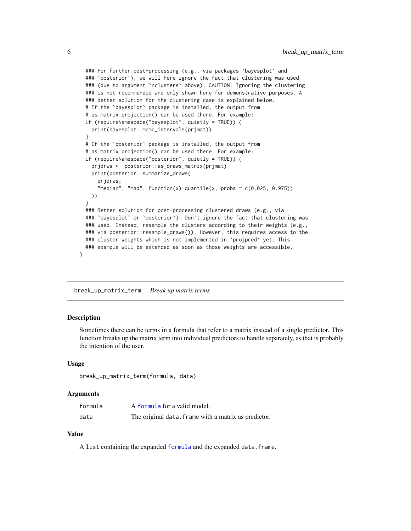```
### For further post-processing (e.g., via packages `bayesplot` and
### `posterior`), we will here ignore the fact that clustering was used
### (due to argument `nclusters` above). CAUTION: Ignoring the clustering
### is not recommended and only shown here for demonstrative purposes. A
### better solution for the clustering case is explained below.
# If the `bayesplot` package is installed, the output from
# as.matrix.projection() can be used there. For example:
if (requireNamespace("bayesplot", quietly = TRUE)) {
  print(bayesplot::mcmc_intervals(prjmat))
}
# If the `posterior` package is installed, the output from
# as.matrix.projection() can be used there. For example:
if (requireNamespace("posterior", quietly = TRUE)) {
  prjdrws <- posterior::as_draws_matrix(prjmat)
  print(posterior::summarize_draws(
    prjdrws,
    "median", "mad", function(x) quantile(x, probs = c(0.025, 0.975))
 ))
}
### Better solution for post-processing clustered draws (e.g., via
### `bayesplot` or `posterior`): Don't ignore the fact that clustering was
### used. Instead, resample the clusters according to their weights (e.g.,
### via posterior::resample_draws()). However, this requires access to the
### cluster weights which is not implemented in `projpred` yet. This
### example will be extended as soon as those weights are accessible.
```
break\_up\_matrix\_term *Break up matrix terms*

#### Description

}

Sometimes there can be terms in a formula that refer to a matrix instead of a single predictor. This function breaks up the matrix term into individual predictors to handle separately, as that is probably the intention of the user.

#### Usage

```
break_up_matrix_term(formula, data)
```
#### Arguments

| formula | A formula for a valid model.                         |
|---------|------------------------------------------------------|
| data    | The original data. frame with a matrix as predictor. |

### Value

A list containing the expanded [formula](#page-0-0) and the expanded data.frame.

<span id="page-5-0"></span>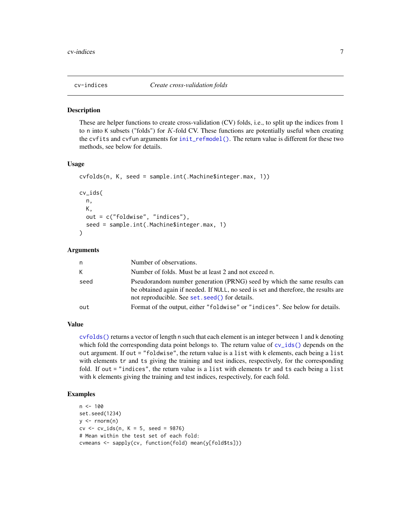<span id="page-6-0"></span>

#### <span id="page-6-1"></span>**Description**

These are helper functions to create cross-validation (CV) folds, i.e., to split up the indices from 1 to n into K subsets ("folds") for K-fold CV. These functions are potentially useful when creating the cvfits and cvfun arguments for [init\\_refmodel\(\)](#page-23-1). The return value is different for these two methods, see below for details.

#### Usage

```
cvfolds(n, K, seed = sample.int(.Machine$integer.max, 1))
cv_ids(
 n,
 K,
 out = c("foldwise", "indices"),
  seed = sample.int(.Machine$integer.max, 1)
)
```
#### Arguments

| n    | Number of observations.                                                                                                                                                                                            |
|------|--------------------------------------------------------------------------------------------------------------------------------------------------------------------------------------------------------------------|
| K    | Number of folds. Must be at least 2 and not exceed n.                                                                                                                                                              |
| seed | Pseudorandom number generation (PRNG) seed by which the same results can<br>be obtained again if needed. If NULL, no seed is set and therefore, the results are<br>not reproducible. See set. seed () for details. |
| out  | Format of the output, either "foldwise" or "indices". See below for details.                                                                                                                                       |

# Value

[cvfolds\(\)](#page-6-1) returns a vector of length n such that each element is an integer between 1 and k denoting which fold the corresponding data point belongs to. The return value of  $cv\_ids()$  depends on the out argument. If out = "foldwise", the return value is a list with k elements, each being a list with elements tr and ts giving the training and test indices, respectively, for the corresponding fold. If out = "indices", the return value is a list with elements tr and ts each being a list with k elements giving the training and test indices, respectively, for each fold.

#### Examples

```
n < - 100set.seed(1234)
y \le - rnorm(n)cv \le v\_ids(n, K = 5, seed = 9876)# Mean within the test set of each fold:
cvmeans <- sapply(cv, function(fold) mean(y[fold$ts]))
```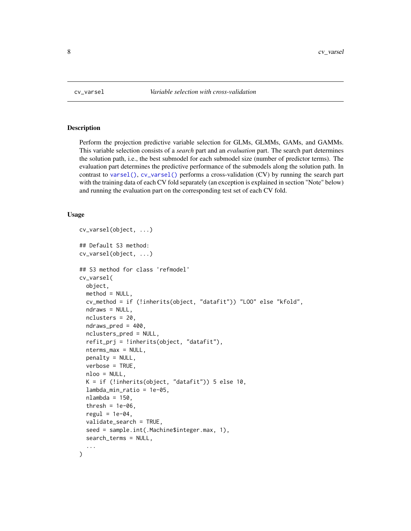<span id="page-7-1"></span><span id="page-7-0"></span>

#### Description

Perform the projection predictive variable selection for GLMs, GLMMs, GAMs, and GAMMs. This variable selection consists of a *search* part and an *evaluation* part. The search part determines the solution path, i.e., the best submodel for each submodel size (number of predictor terms). The evaluation part determines the predictive performance of the submodels along the solution path. In contrast to [varsel\(\)](#page-33-1), [cv\\_varsel\(\)](#page-7-1) performs a cross-validation (CV) by running the search part with the training data of each CV fold separately (an exception is explained in section "Note" below) and running the evaluation part on the corresponding test set of each CV fold.

#### Usage

```
cv_varsel(object, ...)
## Default S3 method:
cv_varsel(object, ...)
## S3 method for class 'refmodel'
cv_varsel(
 object,
 method = NULL,cv_method = if (!inherits(object, "datafit")) "LOO" else "kfold",
  ndraws = NULL,
  nclusters = 20,
  ndraws_pred = 400,
  nclusters_pred = NULL,
  refit_prj = !inherits(object, "datafit"),
  nterms_max = NULL,
  penalty = NULL,
  verbose = TRUE,
  nloo = NULL,
 K = if (!inherits(object, "datafit")) 5 else 10,
  lambda_min_ratio = 1e-05,
  nlambda = 150,
  thresh = 1e-06,
  regul = 1e-04.
  validate_search = TRUE,
  seed = sample.int(.Machine$integer.max, 1),
  search_terms = NULL,
  ...
)
```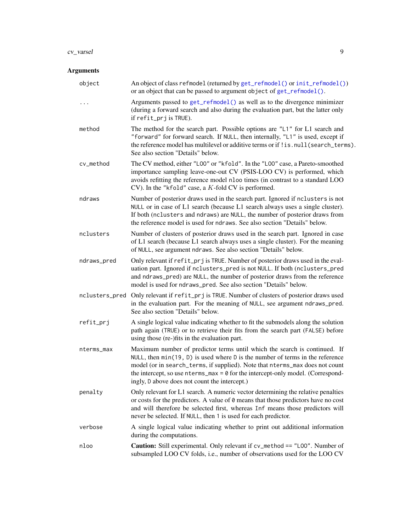#### <span id="page-8-0"></span>cv\_varsel 9

# Arguments

| object         | An object of class refmodel (returned by get_refmodel() or init_refmodel())<br>or an object that can be passed to argument object of get_refmodel().                                                                                                                                                                                                                             |
|----------------|----------------------------------------------------------------------------------------------------------------------------------------------------------------------------------------------------------------------------------------------------------------------------------------------------------------------------------------------------------------------------------|
| .              | Arguments passed to get_refmodel() as well as to the divergence minimizer<br>(during a forward search and also during the evaluation part, but the latter only<br>if refit_prj is TRUE).                                                                                                                                                                                         |
| method         | The method for the search part. Possible options are "L1" for L1 search and<br>"forward" for forward search. If NULL, then internally, "L1" is used, except if<br>the reference model has multilevel or additive terms or if ! is. null(search_terms).<br>See also section "Details" below.                                                                                      |
| cv_method      | The CV method, either "L00" or "kfold". In the "L00" case, a Pareto-smoothed<br>importance sampling leave-one-out CV (PSIS-LOO CV) is performed, which<br>avoids refitting the reference model nloo times (in contrast to a standard LOO<br>CV). In the "kfold" case, a $K$ -fold CV is performed.                                                                               |
| ndraws         | Number of posterior draws used in the search part. Ignored if nclusters is not<br>NULL or in case of L1 search (because L1 search always uses a single cluster).<br>If both (nclusters and ndraws) are NULL, the number of posterior draws from<br>the reference model is used for ndraws. See also section "Details" below.                                                     |
| nclusters      | Number of clusters of posterior draws used in the search part. Ignored in case<br>of L1 search (because L1 search always uses a single cluster). For the meaning<br>of NULL, see argument ndraws. See also section "Details" below.                                                                                                                                              |
| ndraws_pred    | Only relevant if refit_prj is TRUE. Number of posterior draws used in the eval-<br>uation part. Ignored if nclusters_pred is not NULL. If both (nclusters_pred<br>and ndraws_pred) are NULL, the number of posterior draws from the reference<br>model is used for ndraws_pred. See also section "Details" below.                                                                |
| nclusters_pred | Only relevant if refit_prj is TRUE. Number of clusters of posterior draws used<br>in the evaluation part. For the meaning of NULL, see argument ndraws_pred.<br>See also section "Details" below.                                                                                                                                                                                |
| refit_prj      | A single logical value indicating whether to fit the submodels along the solution<br>path again (TRUE) or to retrieve their fits from the search part (FALSE) before<br>using those (re-)fits in the evaluation part.                                                                                                                                                            |
| nterms_max     | Maximum number of predictor terms until which the search is continued. If<br>NULL, then min(19, D) is used where D is the number of terms in the reference<br>model (or in search_terms, if supplied). Note that nterms_max does not count<br>the intercept, so use $nterms_max = 0$ for the intercept-only model. (Correspond-<br>ingly, D above does not count the intercept.) |
| penalty        | Only relevant for L1 search. A numeric vector determining the relative penalties<br>or costs for the predictors. A value of 0 means that those predictors have no cost<br>and will therefore be selected first, whereas Inf means those predictors will<br>never be selected. If NULL, then 1 is used for each predictor.                                                        |
| verbose        | A single logical value indicating whether to print out additional information<br>during the computations.                                                                                                                                                                                                                                                                        |
| nloo           | <b>Caution:</b> Still experimental. Only relevant if cv_method == "L00". Number of<br>subsampled LOO CV folds, i.e., number of observations used for the LOO CV                                                                                                                                                                                                                  |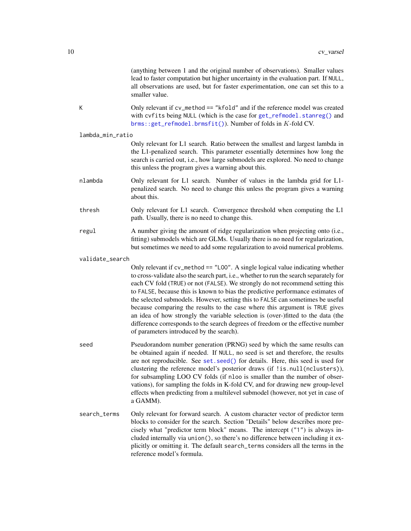<span id="page-9-0"></span>

|   |                  | (anything between 1 and the original number of observations). Smaller values<br>lead to faster computation but higher uncertainty in the evaluation part. If NULL,<br>all observations are used, but for faster experimentation, one can set this to a<br>smaller value.                                                                                                                                                                                                                                                                                                                                                                                                                                                         |
|---|------------------|----------------------------------------------------------------------------------------------------------------------------------------------------------------------------------------------------------------------------------------------------------------------------------------------------------------------------------------------------------------------------------------------------------------------------------------------------------------------------------------------------------------------------------------------------------------------------------------------------------------------------------------------------------------------------------------------------------------------------------|
| К |                  | Only relevant if cv_method == "kfold" and if the reference model was created<br>with cvfits being NULL (which is the case for get_refmodel.stanreg() and<br>brms::get_refmodel.brmsfit()). Number of folds in K-fold CV.                                                                                                                                                                                                                                                                                                                                                                                                                                                                                                         |
|   | lambda_min_ratio |                                                                                                                                                                                                                                                                                                                                                                                                                                                                                                                                                                                                                                                                                                                                  |
|   |                  | Only relevant for L1 search. Ratio between the smallest and largest lambda in<br>the L1-penalized search. This parameter essentially determines how long the<br>search is carried out, i.e., how large submodels are explored. No need to change<br>this unless the program gives a warning about this.                                                                                                                                                                                                                                                                                                                                                                                                                          |
|   | nlambda          | Only relevant for L1 search. Number of values in the lambda grid for L1-<br>penalized search. No need to change this unless the program gives a warning<br>about this.                                                                                                                                                                                                                                                                                                                                                                                                                                                                                                                                                           |
|   | thresh           | Only relevant for L1 search. Convergence threshold when computing the L1<br>path. Usually, there is no need to change this.                                                                                                                                                                                                                                                                                                                                                                                                                                                                                                                                                                                                      |
|   | regul            | A number giving the amount of ridge regularization when projecting onto (i.e.,<br>fitting) submodels which are GLMs. Usually there is no need for regularization,<br>but sometimes we need to add some regularization to avoid numerical problems.                                                                                                                                                                                                                                                                                                                                                                                                                                                                               |
|   | validate_search  |                                                                                                                                                                                                                                                                                                                                                                                                                                                                                                                                                                                                                                                                                                                                  |
|   |                  | Only relevant if cv_method == "L00". A single logical value indicating whether<br>to cross-validate also the search part, i.e., whether to run the search separately for<br>each CV fold (TRUE) or not (FALSE). We strongly do not recommend setting this<br>to FALSE, because this is known to bias the predictive performance estimates of<br>the selected submodels. However, setting this to FALSE can sometimes be useful<br>because comparing the results to the case where this argument is TRUE gives<br>an idea of how strongly the variable selection is (over-)fitted to the data (the<br>difference corresponds to the search degrees of freedom or the effective number<br>of parameters introduced by the search). |
|   | seed             | Pseudorandom number generation (PRNG) seed by which the same results can<br>be obtained again if needed. If NULL, no seed is set and therefore, the results<br>are not reproducible. See set. seed() for details. Here, this seed is used for<br>clustering the reference model's posterior draws (if !is.null(nclusters)),<br>for subsampling LOO CV folds (if nloo is smaller than the number of obser-<br>vations), for sampling the folds in K-fold CV, and for drawing new group-level<br>effects when predicting from a multilevel submodel (however, not yet in case of<br>a GAMM).                                                                                                                                       |
|   | search_terms     | Only relevant for forward search. A custom character vector of predictor term<br>blocks to consider for the search. Section "Details" below describes more pre-<br>cisely what "predictor term block" means. The intercept ("1") is always in-<br>cluded internally via union(), so there's no difference between including it ex-<br>plicitly or omitting it. The default search_terms considers all the terms in the<br>reference model's formula.                                                                                                                                                                                                                                                                             |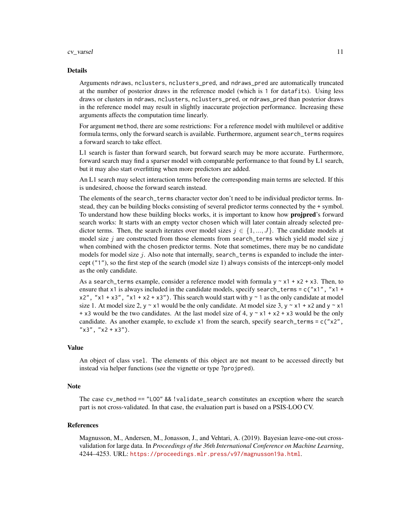#### $cv\_varsel$  11

#### Details

Arguments ndraws, nclusters, nclusters\_pred, and ndraws\_pred are automatically truncated at the number of posterior draws in the reference model (which is 1 for datafits). Using less draws or clusters in ndraws, nclusters, nclusters\_pred, or ndraws\_pred than posterior draws in the reference model may result in slightly inaccurate projection performance. Increasing these arguments affects the computation time linearly.

For argument method, there are some restrictions: For a reference model with multilevel or additive formula terms, only the forward search is available. Furthermore, argument search\_terms requires a forward search to take effect.

L1 search is faster than forward search, but forward search may be more accurate. Furthermore, forward search may find a sparser model with comparable performance to that found by L1 search, but it may also start overfitting when more predictors are added.

An L1 search may select interaction terms before the corresponding main terms are selected. If this is undesired, choose the forward search instead.

The elements of the search\_terms character vector don't need to be individual predictor terms. Instead, they can be building blocks consisting of several predictor terms connected by the + symbol. To understand how these building blocks works, it is important to know how **projpred**'s forward search works: It starts with an empty vector chosen which will later contain already selected predictor terms. Then, the search iterates over model sizes  $j \in \{1, ..., J\}$ . The candidate models at model size j are constructed from those elements from search\_terms which yield model size j when combined with the chosen predictor terms. Note that sometimes, there may be no candidate models for model size  $j$ . Also note that internally, search\_terms is expanded to include the intercept ("1"), so the first step of the search (model size 1) always consists of the intercept-only model as the only candidate.

As a search\_terms example, consider a reference model with formula  $y \sim x1 + x2 + x3$ . Then, to ensure that x1 is always included in the candidate models, specify search\_terms =  $c("x1", "x1 +$  $x2$ ", " $x1 + x3$ ", " $x1 + x2 + x3$ "). This search would start with  $y \sim 1$  as the only candidate at model size 1. At model size 2, y  $\sim$  x1 would be the only candidate. At model size 3, y  $\sim$  x1 + x2 and y  $\sim$  x1 + x3 would be the two candidates. At the last model size of 4,  $y \sim x1 + x2 + x3$  would be the only candidate. As another example, to exclude  $x1$  from the search, specify search\_terms =  $c("x2",$  $"x3", "x2 + x3").$ 

#### Value

An object of class vsel. The elements of this object are not meant to be accessed directly but instead via helper functions (see the vignette or type ?projpred).

## Note

The case cv\_method == "LOO" && !validate\_search constitutes an exception where the search part is not cross-validated. In that case, the evaluation part is based on a PSIS-LOO CV.

#### References

Magnusson, M., Andersen, M., Jonasson, J., and Vehtari, A. (2019). Bayesian leave-one-out crossvalidation for large data. In *Proceedings of the 36th International Conference on Machine Learning*, 4244–4253. URL: <https://proceedings.mlr.press/v97/magnusson19a.html>.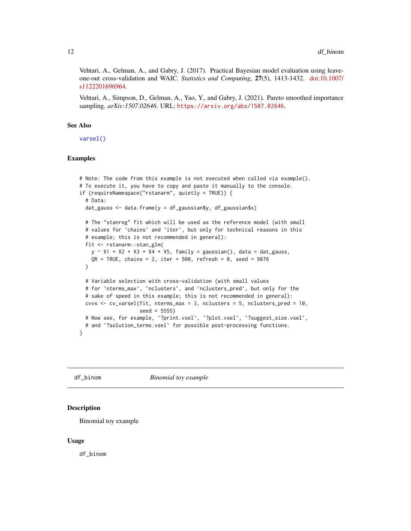<span id="page-11-0"></span>Vehtari, A., Gelman, A., and Gabry, J. (2017). Practical Bayesian model evaluation using leaveone-out cross-validation and WAIC. *Statistics and Computing*, 27(5), 1413-1432. [doi:10.1007/](https://doi.org/10.1007/s11222-016-9696-4) [s1122201696964.](https://doi.org/10.1007/s11222-016-9696-4)

Vehtari, A., Simpson, D., Gelman, A., Yao, Y., and Gabry, J. (2021). Pareto smoothed importance sampling. *arXiv:1507.02646*. URL: <https://arxiv.org/abs/1507.02646>.

#### See Also

[varsel\(\)](#page-33-1)

## Examples

```
# Note: The code from this example is not executed when called via example().
# To execute it, you have to copy and paste it manually to the console.
if (requireNamespace("rstanarm", quietly = TRUE)) {
 # Data:
 dat_gauss <- data.frame(y = df_gaussian$y, df_gaussian$x)
 # The "stanreg" fit which will be used as the reference model (with small
 # values for `chains` and `iter`, but only for technical reasons in this
 # example; this is not recommended in general):
 fit <- rstanarm::stan_glm(
   y \sim X1 + X2 + X3 + X4 + X5, family = gaussian(), data = dat_gauss,
   QR = TRUE, chains = 2, iter = 500, refresh = 0, seed = 9876
 )
 # Variable selection with cross-validation (with small values
 # for `nterms_max`, `nclusters`, and `nclusters_pred`, but only for the
 # sake of speed in this example; this is not recommended in general):
 cvvs \leq cv_varsel(fit, nterms_max = 3, nclusters = 5, nclusters_pred = 10,
                    seed = 5555)
 # Now see, for example, `?print.vsel`, `?plot.vsel`, `?suggest_size.vsel`,
 # and `?solution_terms.vsel` for possible post-processing functions.
}
```
df\_binom *Binomial toy example*

#### Description

Binomial toy example

#### Usage

df\_binom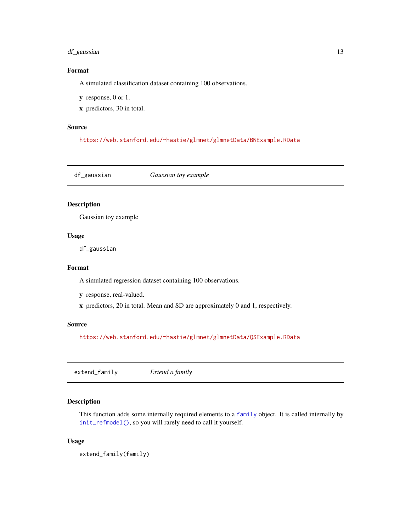# <span id="page-12-0"></span>df\_gaussian 13

# Format

A simulated classification dataset containing 100 observations.

y response, 0 or 1.

x predictors, 30 in total.

### Source

<https://web.stanford.edu/~hastie/glmnet/glmnetData/BNExample.RData>

df\_gaussian *Gaussian toy example*

# Description

Gaussian toy example

# Usage

df\_gaussian

#### Format

A simulated regression dataset containing 100 observations.

- y response, real-valued.
- x predictors, 20 in total. Mean and SD are approximately 0 and 1, respectively.

#### Source

<https://web.stanford.edu/~hastie/glmnet/glmnetData/QSExample.RData>

extend\_family *Extend a family*

### Description

This function adds some internally required elements to a [family](#page-0-0) object. It is called internally by [init\\_refmodel\(\)](#page-23-1), so you will rarely need to call it yourself.

#### Usage

extend\_family(family)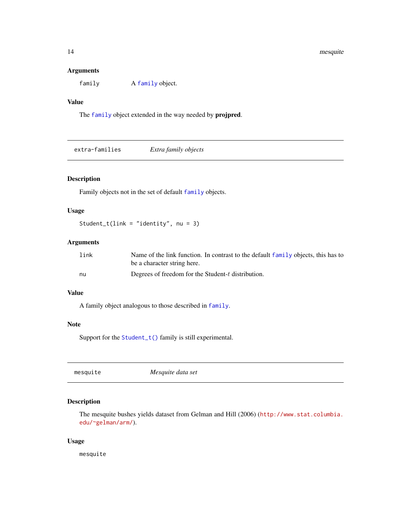# <span id="page-13-0"></span>Arguments

[family](#page-0-0) A family object.

# Value

The [family](#page-0-0) object extended in the way needed by projpred.

extra-families *Extra family objects*

# <span id="page-13-1"></span>Description

Family objects not in the set of default [family](#page-0-0) objects.

# Usage

Student\_t(link = "identity", nu = 3)

#### Arguments

| link | Name of the link function. In contrast to the default family objects, this has to |
|------|-----------------------------------------------------------------------------------|
|      | be a character string here.                                                       |
| nu   | Degrees of freedom for the Student-t distribution.                                |

### Value

A family object analogous to those described in [family](#page-0-0).

# Note

Support for the [Student\\_t\(\)](#page-13-1) family is still experimental.

mesquite *Mesquite data set*

# Description

The mesquite bushes yields dataset from Gelman and Hill (2006) ([http://www.stat.columbia.](http://www.stat.columbia.edu/~gelman/arm/) [edu/~gelman/arm/](http://www.stat.columbia.edu/~gelman/arm/)).

#### Usage

mesquite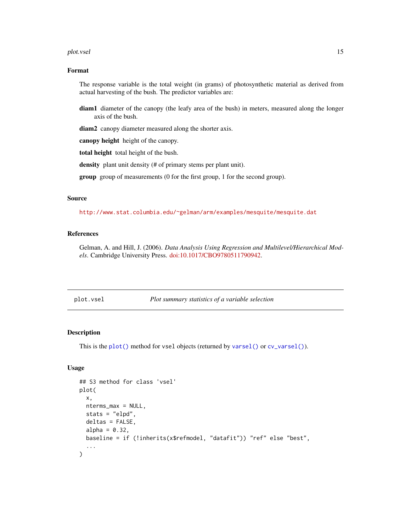#### <span id="page-14-0"></span>plot.vsel the state of the state of the state of the state of the state of the state of the state of the state of the state of the state of the state of the state of the state of the state of the state of the state of the

# Format

The response variable is the total weight (in grams) of photosynthetic material as derived from actual harvesting of the bush. The predictor variables are:

diam1 diameter of the canopy (the leafy area of the bush) in meters, measured along the longer axis of the bush.

diam2 canopy diameter measured along the shorter axis.

canopy height height of the canopy.

total height total height of the bush.

density plant unit density (# of primary stems per plant unit).

group group of measurements (0 for the first group, 1 for the second group).

# Source

<http://www.stat.columbia.edu/~gelman/arm/examples/mesquite/mesquite.dat>

#### References

Gelman, A. and Hill, J. (2006). *Data Analysis Using Regression and Multilevel/Hierarchical Models*. Cambridge University Press. [doi:10.1017/CBO9780511790942.](https://doi.org/10.1017/CBO9780511790942)

<span id="page-14-1"></span>plot.vsel *Plot summary statistics of a variable selection*

#### Description

This is the [plot\(\)](#page-0-0) method for vsel objects (returned by [varsel\(\)](#page-33-1) or [cv\\_varsel\(\)](#page-7-1)).

#### Usage

```
## S3 method for class 'vsel'
plot(
  x,
 nterms_max = NULL,
  stats = "elpd",
 deltas = FALSE,
  alpha = 0.32,
 baseline = if (!inherits(x$refmodel, "datafit")) "ref" else "best",
)
```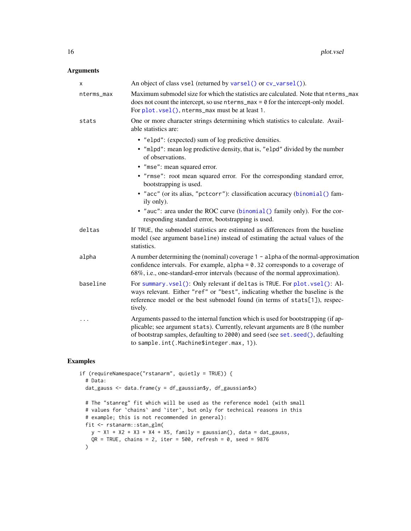# <span id="page-15-0"></span>Arguments

| X          | An object of class vsel (returned by varsel() or cv_varsel()).                                                                                                                                                                                                                                      |
|------------|-----------------------------------------------------------------------------------------------------------------------------------------------------------------------------------------------------------------------------------------------------------------------------------------------------|
| nterms_max | Maximum submodel size for which the statistics are calculated. Note that nterms_max<br>does not count the intercept, so use $n$ terms_max = $\theta$ for the intercept-only model.<br>For plot. vsel(), nterms_max must be at least 1.                                                              |
| stats      | One or more character strings determining which statistics to calculate. Avail-<br>able statistics are:                                                                                                                                                                                             |
|            | • "elpd": (expected) sum of log predictive densities.                                                                                                                                                                                                                                               |
|            | . "mlpd": mean log predictive density, that is, "elpd" divided by the number<br>of observations.                                                                                                                                                                                                    |
|            | • "mse": mean squared error.                                                                                                                                                                                                                                                                        |
|            | • "rmse": root mean squared error. For the corresponding standard error,<br>bootstrapping is used.                                                                                                                                                                                                  |
|            | · "acc" (or its alias, "pctcorr"): classification accuracy (binomial () fam-<br>ily only).                                                                                                                                                                                                          |
|            | • "auc": area under the ROC curve (binomial () family only). For the cor-<br>responding standard error, bootstrapping is used.                                                                                                                                                                      |
| deltas     | If TRUE, the submodel statistics are estimated as differences from the baseline<br>model (see argument baseline) instead of estimating the actual values of the<br>statistics.                                                                                                                      |
| alpha      | A number determining the (nominal) coverage $1 -$ alpha of the normal-approximation<br>confidence intervals. For example, $alpha = 0.32$ corresponds to a coverage of<br>68%, i.e., one-standard-error intervals (because of the normal approximation).                                             |
| baseline   | For summary.vsel(): Only relevant if deltas is TRUE. For plot.vsel(): Al-<br>ways relevant. Either "ref" or "best", indicating whether the baseline is the<br>reference model or the best submodel found (in terms of stats[1]), respec-<br>tively.                                                 |
| $\cdots$   | Arguments passed to the internal function which is used for bootstrapping (if ap-<br>plicable; see argument stats). Currently, relevant arguments are B (the number<br>of bootstrap samples, defaulting to 2000) and seed (see set. seed(), defaulting<br>to sample.int(.Machine\$integer.max, 1)). |

## Examples

```
if (requireNamespace("rstanarm", quietly = TRUE)) {
  # Data:
  dat_gauss <- data.frame(y = df_gaussian$y, df_gaussian$x)
  # The "stanreg" fit which will be used as the reference model (with small
  # values for `chains` and `iter`, but only for technical reasons in this
  # example; this is not recommended in general):
  fit <- rstanarm::stan_glm(
   y \sim X1 + X2 + X3 + X4 + X5, family = gaussian(), data = dat_gauss,
   QR = TRUE, chains = 2, iter = 500, refresh = 0, seed = 9876
  \mathcal{L}
```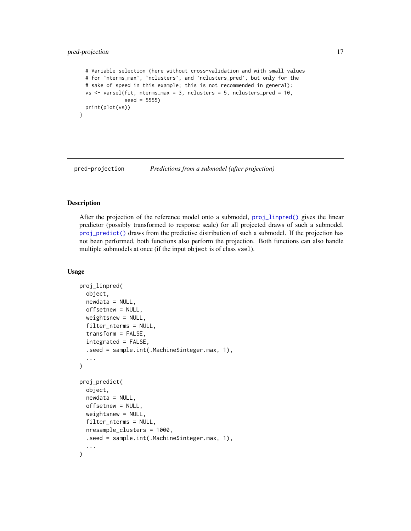# <span id="page-16-0"></span>pred-projection 17

}

```
# Variable selection (here without cross-validation and with small values
# for `nterms_max`, `nclusters`, and `nclusters_pred`, but only for the
# sake of speed in this example; this is not recommended in general):
vs \le varsel(fit, nterms_max = 3, nclusters = 5, nclusters_pred = 10,
             seed = 5555)
print(plot(vs))
```
pred-projection *Predictions from a submodel (after projection)*

# <span id="page-16-1"></span>Description

After the projection of the reference model onto a submodel, [proj\\_linpred\(\)](#page-16-1) gives the linear predictor (possibly transformed to response scale) for all projected draws of such a submodel. [proj\\_predict\(\)](#page-16-1) draws from the predictive distribution of such a submodel. If the projection has not been performed, both functions also perform the projection. Both functions can also handle multiple submodels at once (if the input object is of class vsel).

#### Usage

```
proj_linpred(
  object,
  newdata = NULL,offsetnew = NULL,
  weightsnew = NULL,
  filter_nterms = NULL,
  transform = FALSE,
  integrated = FALSE,
  .seed = sample.int(.Machine$integer.max, 1),
  ...
\lambdaproj_predict(
  object,
  newdata = NULL,offsetnew = NULL,
  weightsnew = NULL,
  filter_nterms = NULL,
  nresample_clusters = 1000,
  .seed = sample.int(.Machine$integer.max, 1),
  ...
)
```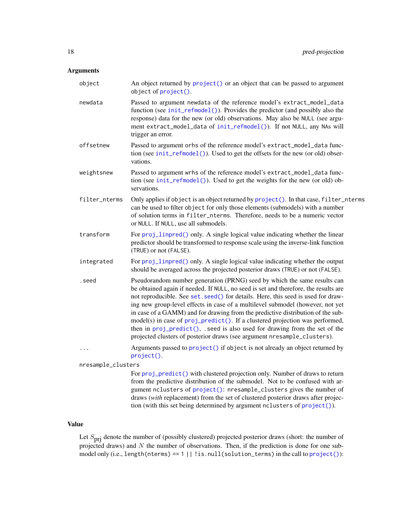## <span id="page-17-0"></span>Arguments

| object             | An object returned by project () or an object that can be passed to argument<br>object of project().                                                                                                                                                                                                                                                                                                                                                                                                                                                                                                                                                              |
|--------------------|-------------------------------------------------------------------------------------------------------------------------------------------------------------------------------------------------------------------------------------------------------------------------------------------------------------------------------------------------------------------------------------------------------------------------------------------------------------------------------------------------------------------------------------------------------------------------------------------------------------------------------------------------------------------|
| newdata            | Passed to argument newdata of the reference model's extract_model_data<br>function (see init_refmodel()). Provides the predictor (and possibly also the<br>response) data for the new (or old) observations. May also be NULL (see argu-<br>ment extract_model_data of init_refmodel()). If not NULL, any NAs will<br>trigger an error.                                                                                                                                                                                                                                                                                                                           |
| offsetnew          | Passed to argument orhs of the reference model's extract_model_data func-<br>tion (see init_refmodel()). Used to get the offsets for the new (or old) obser-<br>vations.                                                                                                                                                                                                                                                                                                                                                                                                                                                                                          |
| weightsnew         | Passed to argument wrhs of the reference model's extract_model_data func-<br>tion (see init_refmodel()). Used to get the weights for the new (or old) ob-<br>servations.                                                                                                                                                                                                                                                                                                                                                                                                                                                                                          |
| filter_nterms      | Only applies if object is an object returned by project (). In that case, filter_nterms<br>can be used to filter object for only those elements (submodels) with a number<br>of solution terms in filter_nterms. Therefore, needs to be a numeric vector<br>or NULL. If NULL, use all submodels.                                                                                                                                                                                                                                                                                                                                                                  |
| transform          | For proj_linpred() only. A single logical value indicating whether the linear<br>predictor should be transformed to response scale using the inverse-link function<br>(TRUE) or not (FALSE).                                                                                                                                                                                                                                                                                                                                                                                                                                                                      |
| integrated         | For proj_linpred() only. A single logical value indicating whether the output<br>should be averaged across the projected posterior draws (TRUE) or not (FALSE).                                                                                                                                                                                                                                                                                                                                                                                                                                                                                                   |
| .seed              | Pseudorandom number generation (PRNG) seed by which the same results can<br>be obtained again if needed. If NULL, no seed is set and therefore, the results are<br>not reproducible. See set. seed() for details. Here, this seed is used for draw-<br>ing new group-level effects in case of a multilevel submodel (however, not yet<br>in case of a GAMM) and for drawing from the predictive distribution of the sub-<br>model(s) in case of proj_predict(). If a clustered projection was performed,<br>then in proj_predict(), seed is also used for drawing from the set of the<br>projected clusters of posterior draws (see argument nresample_clusters). |
| .                  | Arguments passed to project () if object is not already an object returned by<br>project().                                                                                                                                                                                                                                                                                                                                                                                                                                                                                                                                                                       |
| nresample_clusters |                                                                                                                                                                                                                                                                                                                                                                                                                                                                                                                                                                                                                                                                   |
|                    | For proj_predict() with clustered projection only. Number of draws to return<br>from the predictive distribution of the submodel. Not to be confused with ar-<br>gument nclusters of project(): nresample_clusters gives the number of                                                                                                                                                                                                                                                                                                                                                                                                                            |

Value

Let  $S_{\text{pri}}$  denote the number of (possibly clustered) projected posterior draws (short: the number of projected draws) and  $N$  the number of observations. Then, if the prediction is done for one submodel only (i.e., length(nterms) == 1 || !is.null(solution\_terms) in the call to [project\(\)](#page-21-1)):

draws (*with* replacement) from the set of clustered posterior draws after projection (with this set being determined by argument nclusters of [project\(\)](#page-21-1)).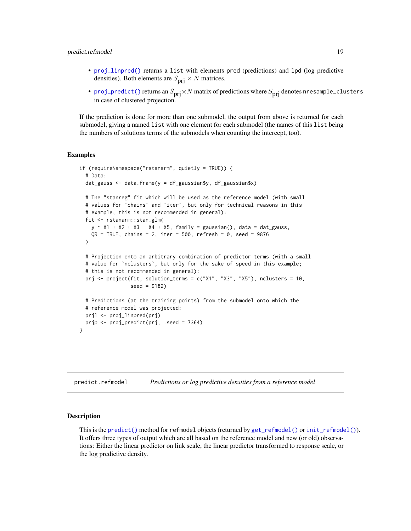#### <span id="page-18-0"></span>predict.refmodel 19

- [proj\\_linpred\(\)](#page-16-1) returns a list with elements pred (predictions) and lpd (log predictive densities). Both elements are  $S_{\text{pri}} \times N$  matrices.
- [proj\\_predict\(\)](#page-16-1) returns an  $S_{\text{pri}} \times N$  matrix of predictions where  $S_{\text{pri}}$  denotes nresample\_clusters in case of clustered projection.

If the prediction is done for more than one submodel, the output from above is returned for each submodel, giving a named list with one element for each submodel (the names of this list being the numbers of solutions terms of the submodels when counting the intercept, too).

#### Examples

```
if (requireNamespace("rstanarm", quietly = TRUE)) {
 # Data:
 dat_gauss <- data.frame(y = df_gaussian$y, df_gaussian$x)
 # The "stanreg" fit which will be used as the reference model (with small
 # values for `chains` and `iter`, but only for technical reasons in this
 # example; this is not recommended in general):
 fit <- rstanarm::stan_glm(
   y \sim X1 + X2 + X3 + X4 + X5, family = gaussian(), data = dat_gauss,
   QR = TRUE, chains = 2, iter = 500, refresh = 0, seed = 9876
 )
 # Projection onto an arbitrary combination of predictor terms (with a small
 # value for `nclusters`, but only for the sake of speed in this example;
 # this is not recommended in general):
 prj <- project(fit, solution_terms = c("X1", "X3", "X5"), nclusters = 10,
                 seed = 9182)
 # Predictions (at the training points) from the submodel onto which the
 # reference model was projected:
 prjl <- proj_linpred(prj)
 prjp <- proj_predict(prj, .seed = 7364)
```
<span id="page-18-1"></span>predict.refmodel *Predictions or log predictive densities from a reference model*

#### Description

}

This is the [predict\(\)](#page-0-0) method for refmodel objects (returned by [get\\_refmodel\(\)](#page-23-1) or [init\\_refmodel\(\)](#page-23-1)). It offers three types of output which are all based on the reference model and new (or old) observations: Either the linear predictor on link scale, the linear predictor transformed to response scale, or the log predictive density.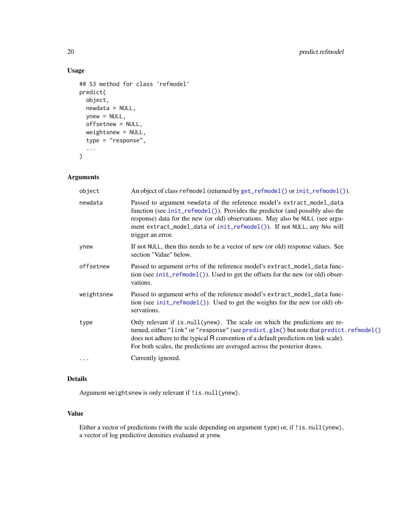# Usage

```
## S3 method for class 'refmodel'
predict(
 object,
 newdata = NULL,
 ynew = NULL,
 offsetnew = NULL,
 weightsnew = NULL,
  type = "response",
  ...
)
```
# Arguments

| object     | An object of class refmodel (returned by get_refmodel() or init_refmodel()).                                                                                                                                                                                                                                                               |
|------------|--------------------------------------------------------------------------------------------------------------------------------------------------------------------------------------------------------------------------------------------------------------------------------------------------------------------------------------------|
| newdata    | Passed to argument newdata of the reference model's extract_model_data<br>function (see init_refmodel()). Provides the predictor (and possibly also the<br>response) data for the new (or old) observations. May also be NULL (see argu-<br>ment extract_model_data of init_refmodel()). If not NULL, any NAs will<br>trigger an error.    |
| ynew       | If not NULL, then this needs to be a vector of new (or old) response values. See<br>section "Value" below.                                                                                                                                                                                                                                 |
| offsetnew  | Passed to argument orhs of the reference model's extract_model_data func-<br>tion (see init_refmodel()). Used to get the offsets for the new (or old) obser-<br>vations.                                                                                                                                                                   |
| weightsnew | Passed to argument wrhs of the reference model's extract_model_data func-<br>tion (see init_refmodel()). Used to get the weights for the new (or old) ob-<br>servations.                                                                                                                                                                   |
| type       | Only relevant if is null (ynew). The scale on which the predictions are re-<br>turned, either "link" or "response" (see predict.glm() but note that predict.refmodel()<br>does not adhere to the typical R convention of a default prediction on link scale).<br>For both scales, the predictions are averaged across the posterior draws. |
| $\cdots$   | Currently ignored.                                                                                                                                                                                                                                                                                                                         |
|            |                                                                                                                                                                                                                                                                                                                                            |

# Details

Argument weightsnew is only relevant if !is.null(ynew).

# Value

Either a vector of predictions (with the scale depending on argument type) or, if ! is.null(ynew), a vector of log predictive densities evaluated at ynew.

<span id="page-19-0"></span>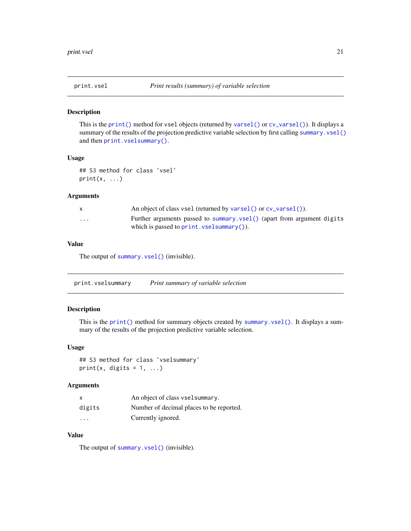<span id="page-20-1"></span><span id="page-20-0"></span>

#### Description

This is the [print\(\)](#page-0-0) method for vsel objects (returned by [varsel\(\)](#page-33-1) or [cv\\_varsel\(\)](#page-7-1)). It displays a summary of the results of the projection predictive variable selection by first calling [summary.vsel\(\)](#page-31-1) and then [print.vselsummary\(\)](#page-20-2).

# Usage

```
## S3 method for class 'vsel'
print(x, \ldots)
```
# Arguments

|                         | An object of class vsel (returned by varsel() or $cv$ varsel()).       |
|-------------------------|------------------------------------------------------------------------|
| $\cdot$ $\cdot$ $\cdot$ | Further arguments passed to summary vsel() (apart from argument digits |
|                         | which is passed to $print$ . $vselsummary()$ ).                        |

# Value

The output of [summary.vsel\(\)](#page-31-1) (invisible).

<span id="page-20-2"></span>print.vselsummary *Print summary of variable selection*

#### Description

This is the [print\(\)](#page-0-0) method for summary objects created by [summary.vsel\(\)](#page-31-1). It displays a summary of the results of the projection predictive variable selection.

# Usage

## S3 method for class 'vselsummary' print(x, digits =  $1, ...$ )

#### Arguments

| x                       | An object of class vselsummary.          |
|-------------------------|------------------------------------------|
| digits                  | Number of decimal places to be reported. |
| $\cdot$ $\cdot$ $\cdot$ | Currently ignored.                       |

#### Value

The output of [summary.vsel\(\)](#page-31-1) (invisible).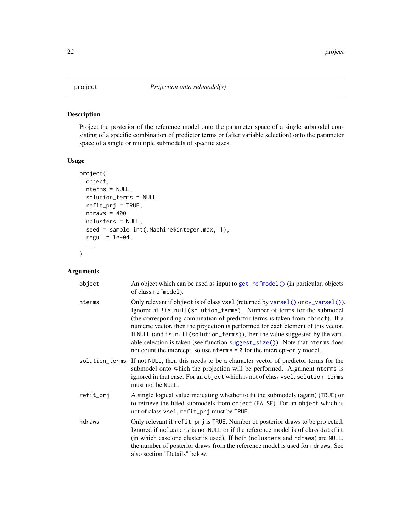# <span id="page-21-1"></span><span id="page-21-0"></span>Description

Project the posterior of the reference model onto the parameter space of a single submodel consisting of a specific combination of predictor terms or (after variable selection) onto the parameter space of a single or multiple submodels of specific sizes.

#### Usage

```
project(
 object,
 nterms = NULL,
  solution_terms = NULL,
  refit_prj = TRUE,
 ndraws = 400,
 nclusters = NULL,
  seed = sample.int(.Machine$integer.max, 1),
  regul = 1e-04,
  ...
)
```
# Arguments

| object    | An object which can be used as input to get_refmodel() (in particular, objects<br>of class refmodel).                                                                                                                                                                                                                                                                                                                                                                                                                                                                                |
|-----------|--------------------------------------------------------------------------------------------------------------------------------------------------------------------------------------------------------------------------------------------------------------------------------------------------------------------------------------------------------------------------------------------------------------------------------------------------------------------------------------------------------------------------------------------------------------------------------------|
| nterms    | Only relevant if object is of class vsel (returned by varsel() or cv_varsel()).<br>Ignored if !is.null(solution_terms). Number of terms for the submodel<br>(the corresponding combination of predictor terms is taken from object). If a<br>numeric vector, then the projection is performed for each element of this vector.<br>If NULL (and is.null(solution_terms)), then the value suggested by the vari-<br>able selection is taken (see function suggest_size()). Note that nterms does<br>not count the intercept, so use $n$ terms = $\theta$ for the intercept-only model. |
|           | solution_terms If not NULL, then this needs to be a character vector of predictor terms for the<br>submodel onto which the projection will be performed. Argument nterms is<br>ignored in that case. For an object which is not of class vsel, solution_terms<br>must not be NULL.                                                                                                                                                                                                                                                                                                   |
| refit_prj | A single logical value indicating whether to fit the submodels (again) (TRUE) or<br>to retrieve the fitted submodels from object (FALSE). For an object which is<br>not of class vsel, refit_prj must be TRUE.                                                                                                                                                                                                                                                                                                                                                                       |
| ndraws    | Only relevant if refit_prj is TRUE. Number of posterior draws to be projected.<br>Ignored if nclusters is not NULL or if the reference model is of class datafit<br>(in which case one cluster is used). If both (nclusters and ndraws) are NULL,<br>the number of posterior draws from the reference model is used for ndraws. See<br>also section "Details" below.                                                                                                                                                                                                                 |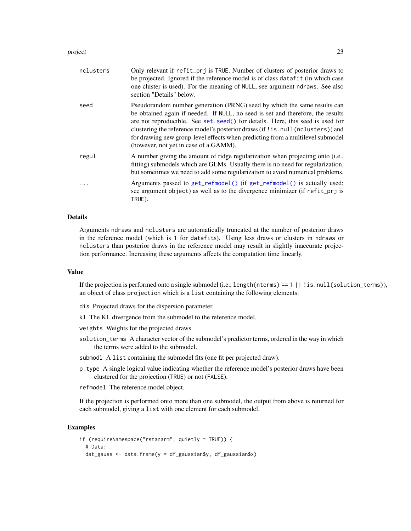#### <span id="page-22-0"></span>project 23

| nclusters | Only relevant if refit_prj is TRUE. Number of clusters of posterior draws to<br>be projected. Ignored if the reference model is of class datafit (in which case<br>one cluster is used). For the meaning of NULL, see argument ndraws. See also<br>section "Details" below.                                                                                                                                                                              |
|-----------|----------------------------------------------------------------------------------------------------------------------------------------------------------------------------------------------------------------------------------------------------------------------------------------------------------------------------------------------------------------------------------------------------------------------------------------------------------|
| seed      | Pseudorandom number generation (PRNG) seed by which the same results can<br>be obtained again if needed. If NULL, no seed is set and therefore, the results<br>are not reproducible. See set. seed() for details. Here, this seed is used for<br>clustering the reference model's posterior draws (if!is.null(nclusters)) and<br>for drawing new group-level effects when predicting from a multilevel submodel<br>(however, not yet in case of a GAMM). |
| regul     | A number giving the amount of ridge regularization when projecting onto (i.e.,<br>fitting) submodels which are GLMs. Usually there is no need for regularization,<br>but sometimes we need to add some regularization to avoid numerical problems.                                                                                                                                                                                                       |
|           | Arguments passed to get_refmodel() (if get_refmodel() is actually used;<br>see argument object) as well as to the divergence minimizer (if refit_prj is<br>TRUE).                                                                                                                                                                                                                                                                                        |

#### Details

Arguments ndraws and nclusters are automatically truncated at the number of posterior draws in the reference model (which is 1 for datafits). Using less draws or clusters in ndraws or nclusters than posterior draws in the reference model may result in slightly inaccurate projection performance. Increasing these arguments affects the computation time linearly.

#### Value

If the projection is performed onto a single submodel (i.e., length(nterms) == 1 || !is.null(solution\_terms)), an object of class projection which is a list containing the following elements:

dis Projected draws for the dispersion parameter.

kl The KL divergence from the submodel to the reference model.

weights Weights for the projected draws.

solution\_terms A character vector of the submodel's predictor terms, ordered in the way in which the terms were added to the submodel.

submodl A list containing the submodel fits (one fit per projected draw).

p\_type A single logical value indicating whether the reference model's posterior draws have been clustered for the projection (TRUE) or not (FALSE).

refmodel The reference model object.

If the projection is performed onto more than one submodel, the output from above is returned for each submodel, giving a list with one element for each submodel.

# Examples

```
if (requireNamespace("rstanarm", quietly = TRUE)) {
 # Data:
 dat_gauss <- data.frame(y = df_gaussian$y, df_gaussian$x)
```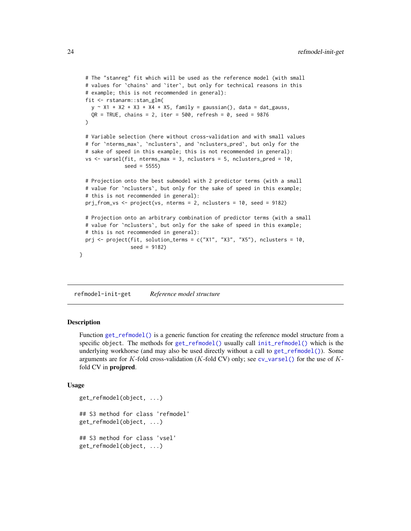```
# The "stanreg" fit which will be used as the reference model (with small
 # values for `chains` and `iter`, but only for technical reasons in this
 # example; this is not recommended in general):
 fit <- rstanarm::stan_glm(
   y \sim X1 + X2 + X3 + X4 + X5, family = gaussian(), data = dat_gauss,
    QR = TRUE, chains = 2, iter = 500, refresh = 0, seed = 9876
 \mathcal{L}# Variable selection (here without cross-validation and with small values
 # for `nterms_max`, `nclusters`, and `nclusters_pred`, but only for the
 # sake of speed in this example; this is not recommended in general):
 vs \le varsel(fit, nterms_max = 3, nclusters = 5, nclusters_pred = 10,
               seed = 5555)
 # Projection onto the best submodel with 2 predictor terms (with a small
 # value for `nclusters`, but only for the sake of speed in this example;
 # this is not recommended in general):
 prj_from_vs <- project(vs, nterms = 2, nclusters = 10, seed = 9182)
 # Projection onto an arbitrary combination of predictor terms (with a small
 # value for `nclusters`, but only for the sake of speed in this example;
 # this is not recommended in general):
 prj <- project(fit, solution_terms = c("X1", "X3", "X5"), nclusters = 10,
                 seed = 9182)
}
```
refmodel-init-get *Reference model structure*

#### <span id="page-23-1"></span>Description

Function [get\\_refmodel\(\)](#page-23-1) is a generic function for creating the reference model structure from a specific object. The methods for [get\\_refmodel\(\)](#page-23-1) usually call [init\\_refmodel\(\)](#page-23-1) which is the underlying workhorse (and may also be used directly without a call to [get\\_refmodel\(\)](#page-23-1)). Some arguments are for K-fold cross-validation (K-fold CV) only; see  $cv$ -varsel() for the use of Kfold CV in **projpred**.

#### Usage

```
get_refmodel(object, ...)
## S3 method for class 'refmodel'
get_refmodel(object, ...)
## S3 method for class 'vsel'
get_refmodel(object, ...)
```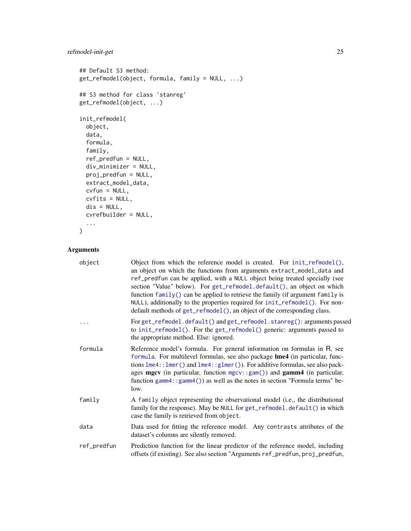# <span id="page-24-0"></span>refmodel-init-get 25

```
## Default S3 method:
get_refmodel(object, formula, family = NULL, ...)
## S3 method for class 'stanreg'
get_refmodel(object, ...)
init_refmodel(
 object,
 data,
 formula,
 family,
 ref_predfun = NULL,
 div_minimizer = NULL,
 proj_predfun = NULL,
 extract_model_data,
 cvfun = NULL,cvfits = NULL,
 dis = NULL,
 cvrefbuilder = NULL,
 ...
```
 $\mathcal{L}$ 

# Arguments

| object      | Object from which the reference model is created. For init_refmodel(),<br>an object on which the functions from arguments extract_model_data and<br>ref_predfun can be applied, with a NULL object being treated specially (see<br>section "Value" below). For get_refmodel.default(), an object on which<br>function family() can be applied to retrieve the family (if argument family is<br>NULL), additionally to the properties required for init_refmodel(). For non-<br>default methods of get_refmodel(), an object of the corresponding class. |
|-------------|---------------------------------------------------------------------------------------------------------------------------------------------------------------------------------------------------------------------------------------------------------------------------------------------------------------------------------------------------------------------------------------------------------------------------------------------------------------------------------------------------------------------------------------------------------|
|             | For get_refmodel.default() and get_refmodel.stanreg(): arguments passed<br>to init_refmodel(). For the get_refmodel() generic: arguments passed to<br>the appropriate method. Else: ignored.                                                                                                                                                                                                                                                                                                                                                            |
| formula     | Reference model's formula. For general information on formulas in R, see<br>formula. For multilevel formulas, see also package Ime4 (in particular, func-<br>tions $l$ me4:: $l$ mer() and $l$ me4:: $gl$ mer()). For additive formulas, see also pack-<br>ages mgcv (in particular, function $mgcv$ : : $gam()$ ) and $gamm4$ (in particular,<br>function $gamma$ : $gamma()$ as well as the notes in section "Formula terms" be-<br>low.                                                                                                              |
| family      | A family object representing the observational model (i.e., the distributional<br>family for the response). May be NULL for get_refmodel.default() in which<br>case the family is retrieved from object.                                                                                                                                                                                                                                                                                                                                                |
| data        | Data used for fitting the reference model. Any contrasts attributes of the<br>dataset's columns are silently removed.                                                                                                                                                                                                                                                                                                                                                                                                                                   |
| ref_predfun | Prediction function for the linear predictor of the reference model, including<br>offsets (if existing). See also section "Arguments ref_predfun, proj_predfun,                                                                                                                                                                                                                                                                                                                                                                                         |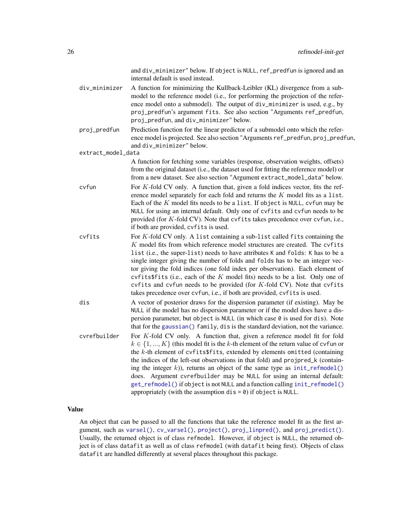<span id="page-25-0"></span>

|                    | and div_minimizer" below. If object is NULL, ref_predfun is ignored and an<br>internal default is used instead.                                                                                                                                                                                                                                                                                                                                                                                                                                                                                                                                                 |
|--------------------|-----------------------------------------------------------------------------------------------------------------------------------------------------------------------------------------------------------------------------------------------------------------------------------------------------------------------------------------------------------------------------------------------------------------------------------------------------------------------------------------------------------------------------------------------------------------------------------------------------------------------------------------------------------------|
| div_minimizer      | A function for minimizing the Kullback-Leibler (KL) divergence from a sub-<br>model to the reference model (i.e., for performing the projection of the refer-<br>ence model onto a submodel). The output of div_minimizer is used, e.g., by<br>proj_predfun's argument fits. See also section "Arguments ref_predfun,<br>proj_predfun, and div_minimizer" below.                                                                                                                                                                                                                                                                                                |
| proj_predfun       | Prediction function for the linear predictor of a submodel onto which the refer-<br>ence model is projected. See also section "Arguments ref_predfun, proj_predfun,<br>and div_minimizer" below.                                                                                                                                                                                                                                                                                                                                                                                                                                                                |
| extract_model_data |                                                                                                                                                                                                                                                                                                                                                                                                                                                                                                                                                                                                                                                                 |
|                    | A function for fetching some variables (response, observation weights, offsets)<br>from the original dataset (i.e., the dataset used for fitting the reference model) or<br>from a new dataset. See also section "Argument extract_model_data" below.                                                                                                                                                                                                                                                                                                                                                                                                           |
| cyfun              | For $K$ -fold CV only. A function that, given a fold indices vector, fits the ref-<br>erence model separately for each fold and returns the $K$ model fits as a list.<br>Each of the $K$ model fits needs to be a list. If object is NULL, cvfun may be<br>NULL for using an internal default. Only one of cvfits and cvfun needs to be<br>provided (for K-fold CV). Note that cvfits takes precedence over cvfun, i.e.,<br>if both are provided, cvfits is used.                                                                                                                                                                                               |
| cvfits             | For $K$ -fold CV only. A list containing a sub-list called fits containing the<br>$K$ model fits from which reference model structures are created. The cvfits<br>list (i.e., the super-list) needs to have attributes K and folds: K has to be a<br>single integer giving the number of folds and folds has to be an integer vec-<br>tor giving the fold indices (one fold index per observation). Each element of<br>cvfits $f$ its (i.e., each of the $K$ model fits) needs to be a list. Only one of<br>cvfits and cvfun needs to be provided (for K-fold CV). Note that cvfits<br>takes precedence over cvfun, i.e., if both are provided, cvfits is used. |
| dis                | A vector of posterior draws for the dispersion parameter (if existing). May be<br>NULL if the model has no dispersion parameter or if the model does have a dis-<br>persion parameter, but object is NULL (in which case 0 is used for dis). Note<br>that for the gaussian() family, dis is the standard deviation, not the variance.                                                                                                                                                                                                                                                                                                                           |
| cvrefbuilder       | For $K$ -fold CV only. A function that, given a reference model fit for fold<br>$k \in \{1, , K\}$ (this model fit is the k-th element of the return value of cvfun or<br>the $k$ -th element of cvfits\$fits, extended by elements omitted (containing<br>the indices of the left-out observations in that fold) and projpred_k (contain-<br>ing the integer $k$ )), returns an object of the same type as $init_refmodel()$<br>does. Argument cvrefbuilder may be NULL for using an internal default:<br>get_refmodel() if object is not NULL and a function calling init_refmodel()<br>appropriately (with the assumption $dis = 0$ ) if object is NULL.     |

# Value

An object that can be passed to all the functions that take the reference model fit as the first argument, such as [varsel\(\)](#page-33-1), [cv\\_varsel\(\)](#page-7-1), [project\(\)](#page-21-1), [proj\\_linpred\(\)](#page-16-1), and [proj\\_predict\(\)](#page-16-1). Usually, the returned object is of class refmodel. However, if object is NULL, the returned object is of class datafit as well as of class refmodel (with datafit being first). Objects of class datafit are handled differently at several places throughout this package.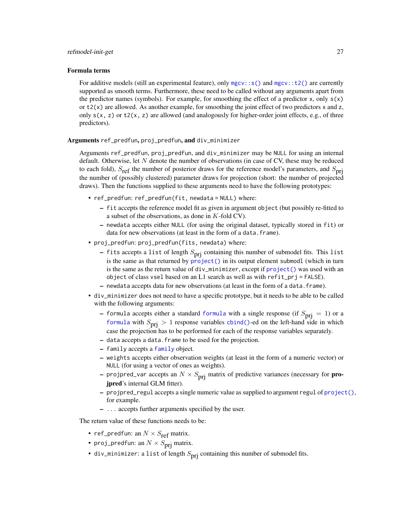#### <span id="page-26-0"></span>Formula terms

For additive models (still an experimental feature), only  $mgcv::s()$  and  $mgcv::t2()$  are currently supported as smooth terms. Furthermore, these need to be called without any arguments apart from the predictor names (symbols). For example, for smoothing the effect of a predictor x, only  $s(x)$ or  $t2(x)$  are allowed. As another example, for smoothing the joint effect of two predictors x and z, only  $s(x, z)$  or  $t2(x, z)$  are allowed (and analogously for higher-order joint effects, e.g., of three predictors).

#### Arguments ref\_predfun, proj\_predfun, and div\_minimizer

Arguments ref\_predfun, proj\_predfun, and div\_minimizer may be NULL for using an internal default. Otherwise, let N denote the number of observations (in case of CV, these may be reduced to each fold),  $S_{ref}$  the number of posterior draws for the reference model's parameters, and  $S_{prj}$ the number of (possibly clustered) parameter draws for projection (short: the number of projected draws). Then the functions supplied to these arguments need to have the following prototypes:

- ref\_predfun: ref\_predfun(fit, newdata = NULL) where:
	- fit accepts the reference model fit as given in argument object (but possibly re-fitted to a subset of the observations, as done in K-fold CV).
	- newdata accepts either NULL (for using the original dataset, typically stored in fit) or data for new observations (at least in the form of a data.frame).
- proj\_predfun: proj\_predfun(fits, newdata) where:
	- fits accepts a list of length  $S_{\text{pri}}$  containing this number of submodel fits. This list is the same as that returned by [project\(\)](#page-21-1) in its output element submodl (which in turn is the same as the return value of  $div_{\text{minimize}} r$ , except if  $project()$  was used with an object of class vsel based on an L1 search as well as with refit\_prj = FALSE).
	- newdata accepts data for new observations (at least in the form of a data.frame).
- div\_minimizer does not need to have a specific prototype, but it needs to be able to be called with the following arguments:
	- [formula](#page-0-0) accepts either a standard formula with a single response (if  $S_{\text{prj}} = 1$ ) or a [formula](#page-0-0) with  $S_{\text{pri}} > 1$  response variables [cbind\(\)](#page-0-0)-ed on the left-hand side in which case the projection has to be performed for each of the response variables separately.
	- data accepts a data.frame to be used for the projection.
	- family accepts a [family](#page-0-0) object.
	- weights accepts either observation weights (at least in the form of a numeric vector) or NULL (for using a vector of ones as weights).
	- projpred\_var accepts an  $N \times S_{\text{pri}}$  matrix of predictive variances (necessary for **pro**jpred's internal GLM fitter).
	- projpred\_regul accepts a single numeric value as supplied to argument regul of [project\(\)](#page-21-1), for example.
	- ... accepts further arguments specified by the user.

The return value of these functions needs to be:

- ref\_predfun: an  $N \times S_{\text{ref}}$  matrix.
- proj\_predfun: an  $N \times S_{\text{pri}}$  matrix.
- div\_minimizer: a list of length  $S_{\text{pri}}$  containing this number of submodel fits.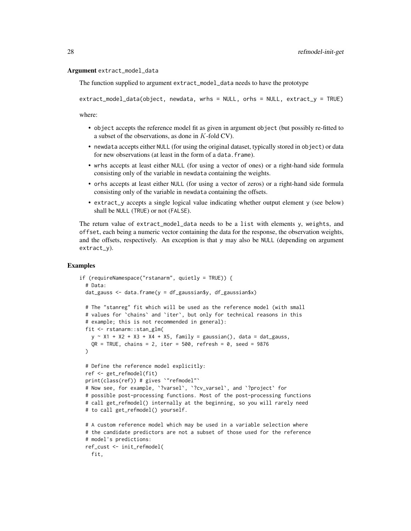#### Argument extract\_model\_data

The function supplied to argument extract\_model\_data needs to have the prototype

extract\_model\_data(object, newdata, wrhs = NULL, orhs = NULL, extract\_y = TRUE)

where:

- object accepts the reference model fit as given in argument object (but possibly re-fitted to a subset of the observations, as done in K-fold CV).
- newdata accepts either NULL (for using the original dataset, typically stored in object) or data for new observations (at least in the form of a data.frame).
- wrhs accepts at least either NULL (for using a vector of ones) or a right-hand side formula consisting only of the variable in newdata containing the weights.
- orhs accepts at least either NULL (for using a vector of zeros) or a right-hand side formula consisting only of the variable in newdata containing the offsets.
- extract\_y accepts a single logical value indicating whether output element y (see below) shall be NULL (TRUE) or not (FALSE).

The return value of extract\_model\_data needs to be a list with elements y, weights, and offset, each being a numeric vector containing the data for the response, the observation weights, and the offsets, respectively. An exception is that y may also be NULL (depending on argument extract\_y).

#### Examples

```
if (requireNamespace("rstanarm", quietly = TRUE)) {
 # Data:
 dat_gauss <- data.frame(y = df_gaussian$y, df_gaussian$x)
 # The "stanreg" fit which will be used as the reference model (with small
 # values for `chains` and `iter`, but only for technical reasons in this
 # example; this is not recommended in general):
 fit <- rstanarm::stan_glm(
   y \sim X1 + X2 + X3 + X4 + X5, family = gaussian(), data = dat_gauss,
   QR = TRUE, chains = 2, iter = 500, refresh = 0, seed = 9876
 )
 # Define the reference model explicitly:
 ref <- get_refmodel(fit)
 print(class(ref)) # gives `"refmodel"`
 # Now see, for example, `?varsel`, `?cv_varsel`, and `?project` for
 # possible post-processing functions. Most of the post-processing functions
 # call get_refmodel() internally at the beginning, so you will rarely need
 # to call get_refmodel() yourself.
 # A custom reference model which may be used in a variable selection where
 # the candidate predictors are not a subset of those used for the reference
 # model's predictions:
 ref_cust <- init_refmodel(
   fit,
```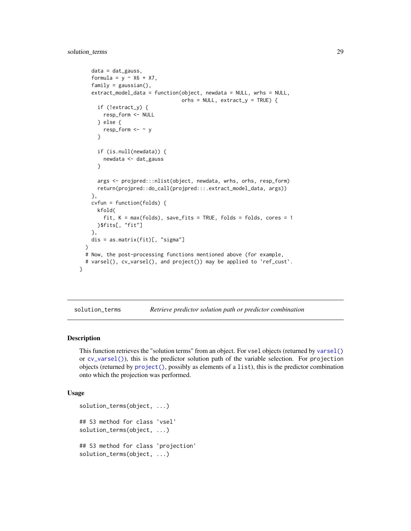# <span id="page-28-0"></span>solution\_terms 29

```
data = dat_gauss,
  formula = y \sim X6 + X7,
  family = gaussian(),
  extract_model_data = function(object, newdata = NULL, wrhs = NULL,
                                 orhs = NULL, extract_y = TRUE) {
    if (!extract_y) {
      resp_form <- NULL
    } else {
      resp_form \leftarrow \sim y
    }
    if (is.null(newdata)) {
      newdata <- dat_gauss
    }
    args <- projpred:::nlist(object, newdata, wrhs, orhs, resp_form)
    return(projpred::do_call(projpred:::.extract_model_data, args))
  },
  cvfun = function(folds) {
    kfold(
      fit, K = max(folds), save_fits = TRUE, folds = folds, cores = 1
    )$fits[, "fit"]
  },
  dis = as.matrix(fit)[, "sigma"]
\lambda# Now, the post-processing functions mentioned above (for example,
# varsel(), cv_varsel(), and project()) may be applied to 'ref_cust'.
```
solution\_terms *Retrieve predictor solution path or predictor combination*

#### <span id="page-28-1"></span>Description

}

This function retrieves the "solution terms" from an object. For vsel objects (returned by [varsel\(\)](#page-33-1) or [cv\\_varsel\(\)](#page-7-1)), this is the predictor solution path of the variable selection. For projection objects (returned by  $project()$ , possibly as elements of a list), this is the predictor combination onto which the projection was performed.

#### Usage

```
solution_terms(object, ...)
## S3 method for class 'vsel'
solution_terms(object, ...)
## S3 method for class 'projection'
solution_terms(object, ...)
```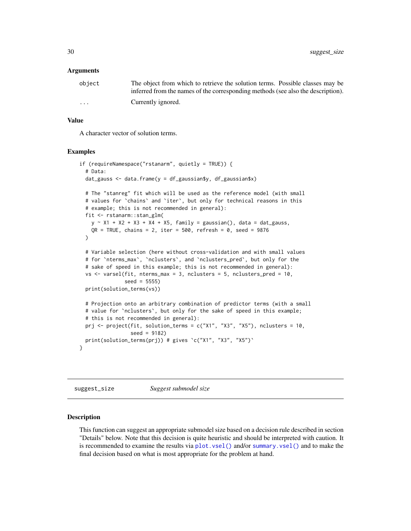#### <span id="page-29-0"></span>Arguments

| object                  | The object from which to retrieve the solution terms. Possible classes may be    |
|-------------------------|----------------------------------------------------------------------------------|
|                         | inferred from the names of the corresponding methods (see also the description). |
| $\cdot$ $\cdot$ $\cdot$ | Currently ignored.                                                               |

#### Value

A character vector of solution terms.

#### Examples

```
if (requireNamespace("rstanarm", quietly = TRUE)) {
 # Data:
 dat_gauss \leq data.frame(y = df_gaussian$y, df_gaussian$x)
 # The "stanreg" fit which will be used as the reference model (with small
 # values for `chains` and `iter`, but only for technical reasons in this
 # example; this is not recommended in general):
 fit <- rstanarm::stan_glm(
   y \sim X1 + X2 + X3 + X4 + X5, family = gaussian(), data = dat_gauss,
   OR = TRUE, chains = 2, iter = 500, refresh = 0, seed = 9876
 \lambda# Variable selection (here without cross-validation and with small values
 # for `nterms_max`, `nclusters`, and `nclusters_pred`, but only for the
 # sake of speed in this example; this is not recommended in general):
 vs <- varsel(fit, nterms_max = 3, nclusters = 5, nclusters_pred = 10,
              seed = 5555)
 print(solution_terms(vs))
 # Projection onto an arbitrary combination of predictor terms (with a small
 # value for `nclusters`, but only for the sake of speed in this example;
 # this is not recommended in general):
 prj <- project(fit, solution_terms = c("X1", "X3", "X5"), nclusters = 10,
                 seed = 9182)
 print(solution_terms(prj)) # gives `c("X1", "X3", "X5")`
}
```
<span id="page-29-2"></span>suggest\_size *Suggest submodel size*

#### <span id="page-29-1"></span>Description

This function can suggest an appropriate submodel size based on a decision rule described in section "Details" below. Note that this decision is quite heuristic and should be interpreted with caution. It is recommended to examine the results via [plot.vsel\(\)](#page-14-1) and/or [summary.vsel\(\)](#page-31-1) and to make the final decision based on what is most appropriate for the problem at hand.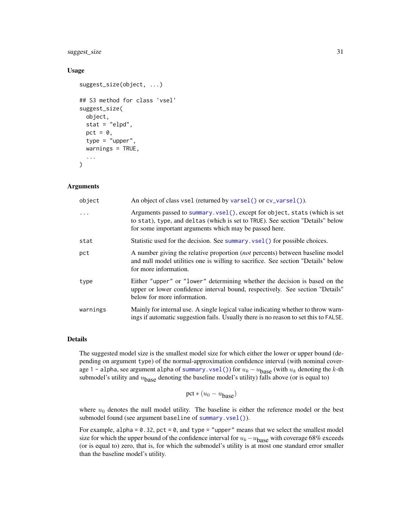# <span id="page-30-0"></span>suggest\_size 31

#### Usage

```
suggest_size(object, ...)
## S3 method for class 'vsel'
suggest_size(
  object,
  stat = "elpd",
  pct = \theta,
  type = "upper",
  warnings = TRUE,
  ...
\mathcal{L}
```
#### Arguments

| object   | An object of class vsel (returned by varsel () or cv_varsel ()).                                                                                                                                                       |
|----------|------------------------------------------------------------------------------------------------------------------------------------------------------------------------------------------------------------------------|
|          | Arguments passed to summary.vsel(), except for object, stats (which is set<br>to stat), type, and deltas (which is set to TRUE). See section "Details" below<br>for some important arguments which may be passed here. |
| stat     | Statistic used for the decision. See summary vsel () for possible choices.                                                                                                                                             |
| pct      | A number giving the relative proportion <i>(not</i> percents) between baseline model<br>and null model utilities one is willing to sacrifice. See section "Details" below<br>for more information.                     |
| type     | Either "upper" or "lower" determining whether the decision is based on the<br>upper or lower confidence interval bound, respectively. See section "Details"<br>below for more information.                             |
| warnings | Mainly for internal use. A single logical value indicating whether to throw warn-<br>ings if automatic suggestion fails. Usually there is no reason to set this to FALSE.                                              |

#### Details

The suggested model size is the smallest model size for which either the lower or upper bound (depending on argument type) of the normal-approximation confidence interval (with nominal coverage 1 - alpha, see argument alpha of [summary.vsel\(\)](#page-31-1)) for  $u_k - u_{\text{base}}$  (with  $u_k$  denoting the k-th submodel's utility and  $u<sub>base</sub>$  denoting the baseline model's utility) falls above (or is equal to)

$$
pct * (u_0 - u_{base})
$$

where  $u_0$  denotes the null model utility. The baseline is either the reference model or the best submodel found (see argument baseline of [summary.vsel\(\)](#page-31-1)).

For example, alpha =  $0.32$ , pct =  $0$ , and type = "upper" means that we select the smallest model size for which the upper bound of the confidence interval for  $u_k - u_{\text{base}}$  with coverage 68% exceeds (or is equal to) zero, that is, for which the submodel's utility is at most one standard error smaller than the baseline model's utility.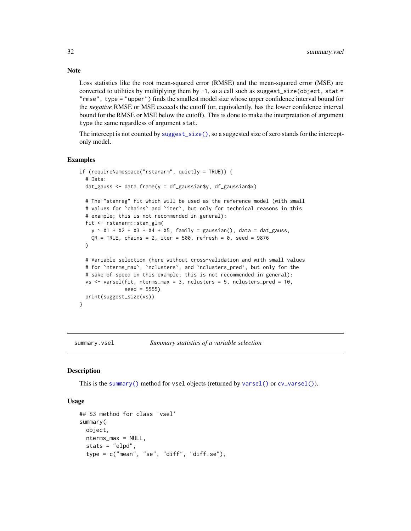Loss statistics like the root mean-squared error (RMSE) and the mean-squared error (MSE) are converted to utilities by multiplying them by  $-1$ , so a call such as suggest\_size(object, stat = "rmse", type = "upper") finds the smallest model size whose upper confidence interval bound for the *negative* RMSE or MSE exceeds the cutoff (or, equivalently, has the lower confidence interval bound for the RMSE or MSE below the cutoff). This is done to make the interpretation of argument type the same regardless of argument stat.

The intercept is not counted by [suggest\\_size\(\)](#page-29-2), so a suggested size of zero stands for the interceptonly model.

#### Examples

```
if (requireNamespace("rstanarm", quietly = TRUE)) {
 # Data:
 dat_gauss <- data.frame(y = df_gaussian$y, df_gaussian$x)
 # The "stanreg" fit which will be used as the reference model (with small
 # values for `chains` and `iter`, but only for technical reasons in this
 # example; this is not recommended in general):
 fit <- rstanarm::stan_glm(
   y \sim X1 + X2 + X3 + X4 + X5, family = gaussian(), data = dat_gauss,
   QR = TRUE, chains = 2, iter = 500, refresh = 0, seed = 9876
 )
 # Variable selection (here without cross-validation and with small values
 # for `nterms_max`, `nclusters`, and `nclusters_pred`, but only for the
 # sake of speed in this example; this is not recommended in general):
 vs <- varsel(fit, nterms_max = 3, nclusters = 5, nclusters_pred = 10,
               seed = 5555)
 print(suggest_size(vs))
}
```
<span id="page-31-1"></span>summary.vsel *Summary statistics of a variable selection*

#### **Description**

This is the [summary\(\)](#page-0-0) method for vsel objects (returned by [varsel\(\)](#page-33-1) or  $cv\_varsel()$ .

### Usage

```
## S3 method for class 'vsel'
summary(
 object,
 nterms_max = NULL,
  stats = "elpd",
  type = c("mean", "se", "diff", "diff.se"),
```
<span id="page-31-0"></span>

# Note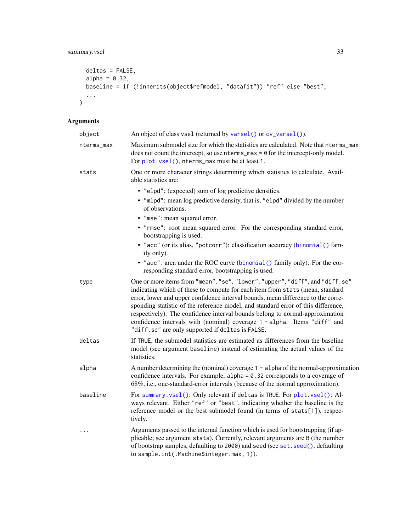```
deltas = FALSE,
 alpha = 0.32,
 baseline = if (!inherits(object$refmodel, "datafit")) "ref" else "best",
 ...
\overline{)}
```
# Arguments

| object     | An object of class vsel (returned by varsel() or cv_varsel()).                                                                                                                                                                                                                                                                                                                                                                                                                                                                                         |
|------------|--------------------------------------------------------------------------------------------------------------------------------------------------------------------------------------------------------------------------------------------------------------------------------------------------------------------------------------------------------------------------------------------------------------------------------------------------------------------------------------------------------------------------------------------------------|
| nterms_max | Maximum submodel size for which the statistics are calculated. Note that net nerms_max<br>does not count the intercept, so use $n$ terms_max = $\theta$ for the intercept-only model.<br>For plot. vsel(), nterms_max must be at least 1.                                                                                                                                                                                                                                                                                                              |
| stats      | One or more character strings determining which statistics to calculate. Avail-<br>able statistics are:                                                                                                                                                                                                                                                                                                                                                                                                                                                |
|            | • "elpd": (expected) sum of log predictive densities.<br>. "mlpd": mean log predictive density, that is, "elpd" divided by the number<br>of observations.                                                                                                                                                                                                                                                                                                                                                                                              |
|            | · "mse": mean squared error.<br>• "rmse": root mean squared error. For the corresponding standard error,<br>bootstrapping is used.                                                                                                                                                                                                                                                                                                                                                                                                                     |
|            | • "acc" (or its alias, "pctcorr"): classification accuracy (binomial () fam-<br>ily only).                                                                                                                                                                                                                                                                                                                                                                                                                                                             |
|            | • "auc": area under the ROC curve (binomial () family only). For the cor-<br>responding standard error, bootstrapping is used.                                                                                                                                                                                                                                                                                                                                                                                                                         |
| type       | One or more items from "mean", "se", "lower", "upper", "diff", and "diff.se"<br>indicating which of these to compute for each item from stats (mean, standard<br>error, lower and upper confidence interval bounds, mean difference to the corre-<br>sponding statistic of the reference model, and standard error of this difference,<br>respectively). The confidence interval bounds belong to normal-approximation<br>confidence intervals with (nominal) coverage 1 - alpha. Items "diff" and<br>"diff.se" are only supported if deltas is FALSE. |
| deltas     | If TRUE, the submodel statistics are estimated as differences from the baseline<br>model (see argument baseline) instead of estimating the actual values of the<br>statistics.                                                                                                                                                                                                                                                                                                                                                                         |
| alpha      | A number determining the (nominal) coverage $1 - a$ lpha of the normal-approximation<br>confidence intervals. For example, $alpha = 0.32$ corresponds to a coverage of<br>68%, i.e., one-standard-error intervals (because of the normal approximation).                                                                                                                                                                                                                                                                                               |
| baseline   | For summary.vsel(): Only relevant if deltas is TRUE. For plot.vsel(): Al-<br>ways relevant. Either "ref" or "best", indicating whether the baseline is the<br>reference model or the best submodel found (in terms of stats[1]), respec-<br>tively.                                                                                                                                                                                                                                                                                                    |
| $\cdots$   | Arguments passed to the internal function which is used for bootstrapping (if ap-<br>plicable; see argument stats). Currently, relevant arguments are B (the number<br>of bootstrap samples, defaulting to 2000) and seed (see set. seed(), defaulting<br>to sample.int(.Machine\$integer.max, 1)).                                                                                                                                                                                                                                                    |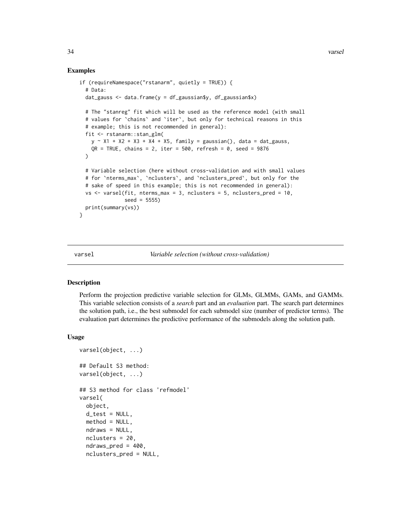#### Examples

```
if (requireNamespace("rstanarm", quietly = TRUE)) {
 # Data:
 dat_gauss \leq data.frame(y = df_gaussian$y, df_gaussian$x)
 # The "stanreg" fit which will be used as the reference model (with small
 # values for `chains` and `iter`, but only for technical reasons in this
 # example; this is not recommended in general):
 fit <- rstanarm::stan_glm(
   y \sim X1 + X2 + X3 + X4 + X5, family = gaussian(), data = dat_gauss,
   QR = TRUE, chains = 2, iter = 500, refresh = 0, seed = 9876
 )
 # Variable selection (here without cross-validation and with small values
 # for `nterms_max`, `nclusters`, and `nclusters_pred`, but only for the
 # sake of speed in this example; this is not recommended in general):
 vs \le varsel(fit, nterms_max = 3, nclusters = 5, nclusters_pred = 10,
               seed = 5555)
 print(summary(vs))
}
```
<span id="page-33-1"></span>

varsel *Variable selection (without cross-validation)*

#### Description

Perform the projection predictive variable selection for GLMs, GLMMs, GAMs, and GAMMs. This variable selection consists of a *search* part and an *evaluation* part. The search part determines the solution path, i.e., the best submodel for each submodel size (number of predictor terms). The evaluation part determines the predictive performance of the submodels along the solution path.

#### Usage

```
varsel(object, ...)
## Default S3 method:
varsel(object, ...)
## S3 method for class 'refmodel'
varsel(
  object,
  d_t test = NULL,
 method = NULL,
 ndraws = NULL,
 nclusters = 20,
  ndraws_pred = 400,
  nclusters_pred = NULL,
```
<span id="page-33-0"></span>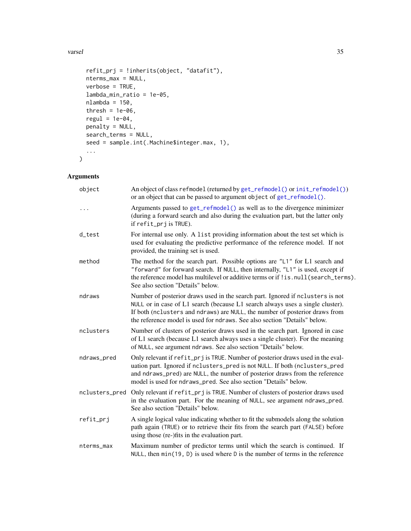<span id="page-34-0"></span>varsel 35

```
refit_prj = !inherits(object, "datafit"),
 nterms_max = NULL,
 verbose = TRUE,
 lambda_min_ratio = 1e-05,
 nlambda = 150,
 thresh = 1e-06,
 regul = 1e-04,
 penalty = NULL,
 search_terms = NULL,
 seed = sample.int(.Machine$integer.max, 1),
  ...
\mathcal{L}
```
# Arguments

| object         | An object of class refmodel (returned by get_refmodel() or init_refmodel())<br>or an object that can be passed to argument object of get_refmodel().                                                                                                                                                                         |
|----------------|------------------------------------------------------------------------------------------------------------------------------------------------------------------------------------------------------------------------------------------------------------------------------------------------------------------------------|
| .              | Arguments passed to get_refmodel() as well as to the divergence minimizer<br>(during a forward search and also during the evaluation part, but the latter only<br>if refit_prj is TRUE).                                                                                                                                     |
| d_test         | For internal use only. A list providing information about the test set which is<br>used for evaluating the predictive performance of the reference model. If not<br>provided, the training set is used.                                                                                                                      |
| method         | The method for the search part. Possible options are "L1" for L1 search and<br>"forward" for forward search. If NULL, then internally, "L1" is used, except if<br>the reference model has multilevel or additive terms or if ! is.null(search_terms).<br>See also section "Details" below.                                   |
| ndraws         | Number of posterior draws used in the search part. Ignored if nclusters is not<br>NULL or in case of L1 search (because L1 search always uses a single cluster).<br>If both (nclusters and ndraws) are NULL, the number of posterior draws from<br>the reference model is used for ndraws. See also section "Details" below. |
| nclusters      | Number of clusters of posterior draws used in the search part. Ignored in case<br>of L1 search (because L1 search always uses a single cluster). For the meaning<br>of NULL, see argument ndraws. See also section "Details" below.                                                                                          |
| ndraws_pred    | Only relevant if refit_prj is TRUE. Number of posterior draws used in the eval-<br>uation part. Ignored if nclusters_pred is not NULL. If both (nclusters_pred<br>and ndraws_pred) are NULL, the number of posterior draws from the reference<br>model is used for ndraws_pred. See also section "Details" below.            |
| nclusters_pred | Only relevant if refit_prj is TRUE. Number of clusters of posterior draws used<br>in the evaluation part. For the meaning of NULL, see argument ndraws_pred.<br>See also section "Details" below.                                                                                                                            |
| refit_prj      | A single logical value indicating whether to fit the submodels along the solution<br>path again (TRUE) or to retrieve their fits from the search part (FALSE) before<br>using those (re-)fits in the evaluation part.                                                                                                        |
| nterms_max     | Maximum number of predictor terms until which the search is continued. If<br>NULL, then $min(19, D)$ is used where D is the number of terms in the reference                                                                                                                                                                 |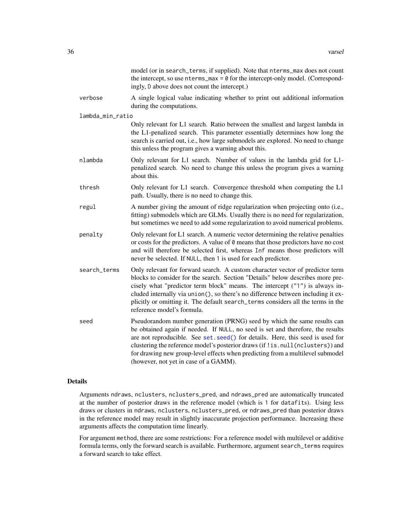<span id="page-35-0"></span>

|                  | model (or in search_terms, if supplied). Note that nterms_max does not count<br>the intercept, so use $nterms_max = 0$ for the intercept-only model. (Correspond-<br>ingly, D above does not count the intercept.)                                                                                                                                                                                                                                          |
|------------------|-------------------------------------------------------------------------------------------------------------------------------------------------------------------------------------------------------------------------------------------------------------------------------------------------------------------------------------------------------------------------------------------------------------------------------------------------------------|
| verbose          | A single logical value indicating whether to print out additional information<br>during the computations.                                                                                                                                                                                                                                                                                                                                                   |
| lambda_min_ratio |                                                                                                                                                                                                                                                                                                                                                                                                                                                             |
|                  | Only relevant for L1 search. Ratio between the smallest and largest lambda in<br>the L1-penalized search. This parameter essentially determines how long the<br>search is carried out, i.e., how large submodels are explored. No need to change<br>this unless the program gives a warning about this.                                                                                                                                                     |
| nlambda          | Only relevant for L1 search. Number of values in the lambda grid for L1-<br>penalized search. No need to change this unless the program gives a warning<br>about this.                                                                                                                                                                                                                                                                                      |
| thresh           | Only relevant for L1 search. Convergence threshold when computing the L1<br>path. Usually, there is no need to change this.                                                                                                                                                                                                                                                                                                                                 |
| regul            | A number giving the amount of ridge regularization when projecting onto (i.e.,<br>fitting) submodels which are GLMs. Usually there is no need for regularization,<br>but sometimes we need to add some regularization to avoid numerical problems.                                                                                                                                                                                                          |
| penalty          | Only relevant for L1 search. A numeric vector determining the relative penalties<br>or costs for the predictors. A value of 0 means that those predictors have no cost<br>and will therefore be selected first, whereas Inf means those predictors will<br>never be selected. If NULL, then 1 is used for each predictor.                                                                                                                                   |
| search_terms     | Only relevant for forward search. A custom character vector of predictor term<br>blocks to consider for the search. Section "Details" below describes more pre-<br>cisely what "predictor term block" means. The intercept ("1") is always in-<br>cluded internally via union(), so there's no difference between including it ex-<br>plicitly or omitting it. The default search_terms considers all the terms in the<br>reference model's formula.        |
| seed             | Pseudorandom number generation (PRNG) seed by which the same results can<br>be obtained again if needed. If NULL, no seed is set and therefore, the results<br>are not reproducible. See set. seed() for details. Here, this seed is used for<br>clustering the reference model's posterior draws (if ! is. null(nclusters)) and<br>for drawing new group-level effects when predicting from a multilevel submodel<br>(however, not yet in case of a GAMM). |

# Details

Arguments ndraws, nclusters, nclusters\_pred, and ndraws\_pred are automatically truncated at the number of posterior draws in the reference model (which is 1 for datafits). Using less draws or clusters in ndraws, nclusters, nclusters\_pred, or ndraws\_pred than posterior draws in the reference model may result in slightly inaccurate projection performance. Increasing these arguments affects the computation time linearly.

For argument method, there are some restrictions: For a reference model with multilevel or additive formula terms, only the forward search is available. Furthermore, argument search\_terms requires a forward search to take effect.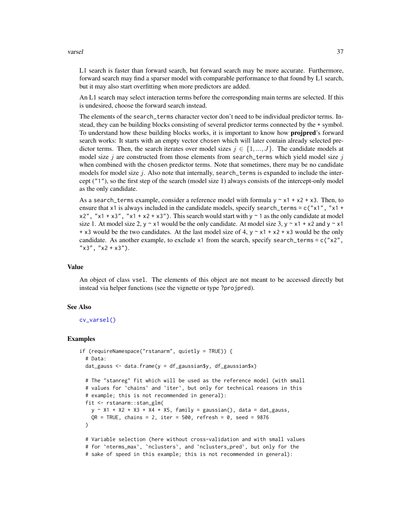#### <span id="page-36-0"></span>varsel 37

L1 search is faster than forward search, but forward search may be more accurate. Furthermore, forward search may find a sparser model with comparable performance to that found by L1 search, but it may also start overfitting when more predictors are added.

An L1 search may select interaction terms before the corresponding main terms are selected. If this is undesired, choose the forward search instead.

The elements of the search\_terms character vector don't need to be individual predictor terms. Instead, they can be building blocks consisting of several predictor terms connected by the + symbol. To understand how these building blocks works, it is important to know how **projpred**'s forward search works: It starts with an empty vector chosen which will later contain already selected predictor terms. Then, the search iterates over model sizes  $j \in \{1, ..., J\}$ . The candidate models at model size j are constructed from those elements from search\_terms which yield model size j when combined with the chosen predictor terms. Note that sometimes, there may be no candidate models for model size  $j$ . Also note that internally, search\_terms is expanded to include the intercept ("1"), so the first step of the search (model size 1) always consists of the intercept-only model as the only candidate.

As a search\_terms example, consider a reference model with formula  $y \sim x1 + x2 + x3$ . Then, to ensure that  $x1$  is always included in the candidate models, specify search\_terms =  $c("x1", "x1 +$  $x2''$ , "x1 + x3", "x1 + x2 + x3"). This search would start with  $y \sim 1$  as the only candidate at model size 1. At model size 2, y  $\sim$  x1 would be the only candidate. At model size 3, y  $\sim$  x1 + x2 and y  $\sim$  x1 + x3 would be the two candidates. At the last model size of 4,  $y \sim x1 + x2 + x3$  would be the only candidate. As another example, to exclude  $x1$  from the search, specify search\_terms =  $c("x2",$  $"x3", "x2 + x3").$ 

#### Value

An object of class vsel. The elements of this object are not meant to be accessed directly but instead via helper functions (see the vignette or type ?projpred).

#### See Also

## [cv\\_varsel\(\)](#page-7-1)

#### Examples

```
if (requireNamespace("rstanarm", quietly = TRUE)) {
 # Data:
 dat_gauss \leq data.frame(y = df_gaussian$y, df_gaussian$x)
 # The "stanreg" fit which will be used as the reference model (with small
 # values for `chains` and `iter`, but only for technical reasons in this
 # example; this is not recommended in general):
 fit <- rstanarm::stan_glm(
   y \sim X1 + X2 + X3 + X4 + X5, family = gaussian(), data = dat_gauss,
   QR = TRUE, chains = 2, iter = 500, refresh = 0, seed = 9876
 )
 # Variable selection (here without cross-validation and with small values
 # for `nterms_max`, `nclusters`, and `nclusters_pred`, but only for the
 # sake of speed in this example; this is not recommended in general):
```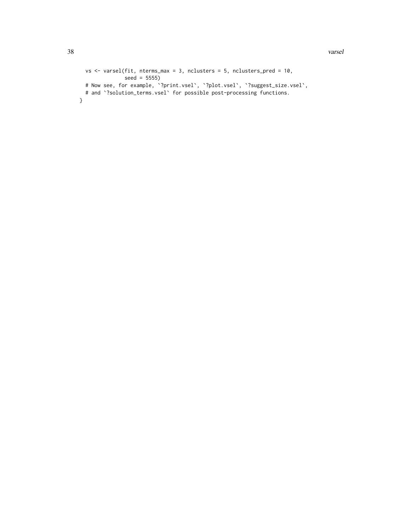```
vs \le varsel(fit, nterms_max = 3, nclusters = 5, nclusters_pred = 10,
              seed = 5555)
  # Now see, for example, `?print.vsel`, `?plot.vsel`, `?suggest_size.vsel`,
  # and '?solution_terms.vsel' for possible post-processing functions.
}
```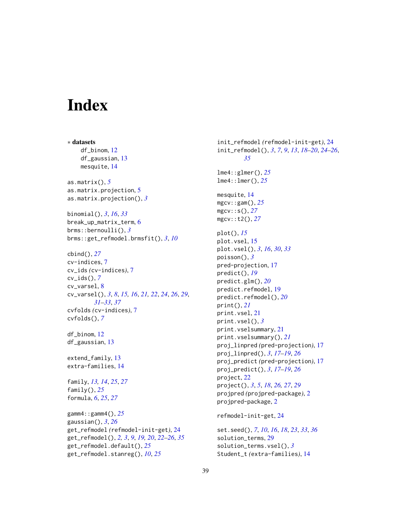# <span id="page-38-0"></span>**Index**

∗ datasets df\_binom, [12](#page-11-0) df\_gaussian, [13](#page-12-0) mesquite, [14](#page-13-0) as.matrix(), *[5](#page-4-0)* as.matrix.projection, [5](#page-4-0) as.matrix.projection(), *[3](#page-2-0)* binomial(), *[3](#page-2-0)*, *[16](#page-15-0)*, *[33](#page-32-0)* break\_up\_matrix\_term, [6](#page-5-0) brms::bernoulli(), *[3](#page-2-0)* brms::get\_refmodel.brmsfit(), *[3](#page-2-0)*, *[10](#page-9-0)* cbind(), *[27](#page-26-0)* cv-indices, [7](#page-6-0) cv\_ids *(*cv-indices*)*, [7](#page-6-0) cv\_ids(), *[7](#page-6-0)* cv\_varsel, [8](#page-7-0) cv\_varsel(), *[3](#page-2-0)*, *[8](#page-7-0)*, *[15,](#page-14-0) [16](#page-15-0)*, *[21,](#page-20-0) [22](#page-21-0)*, *[24](#page-23-0)*, *[26](#page-25-0)*, *[29](#page-28-0)*, *[31](#page-30-0)[–33](#page-32-0)*, *[37](#page-36-0)* cvfolds *(*cv-indices*)*, [7](#page-6-0) cvfolds(), *[7](#page-6-0)* df\_binom, [12](#page-11-0) df\_gaussian, [13](#page-12-0) extend\_family, [13](#page-12-0) extra-families, [14](#page-13-0) family, *[13,](#page-12-0) [14](#page-13-0)*, *[25](#page-24-0)*, *[27](#page-26-0)* family(), *[25](#page-24-0)* formula, *[6](#page-5-0)*, *[25](#page-24-0)*, *[27](#page-26-0)* gamm4::gamm4(), *[25](#page-24-0)* gaussian(), *[3](#page-2-0)*, *[26](#page-25-0)* get\_refmodel *(*refmodel-init-get*)*, [24](#page-23-0) get\_refmodel(), *[2,](#page-1-0) [3](#page-2-0)*, *[9](#page-8-0)*, *[19,](#page-18-0) [20](#page-19-0)*, *[22–](#page-21-0)[26](#page-25-0)*, *[35](#page-34-0)* get\_refmodel.default(), *[25](#page-24-0)* get\_refmodel.stanreg(), *[10](#page-9-0)*, *[25](#page-24-0)*

init\_refmodel *(*refmodel-init-get*)*, [24](#page-23-0) init\_refmodel(), *[3](#page-2-0)*, *[7](#page-6-0)*, *[9](#page-8-0)*, *[13](#page-12-0)*, *[18](#page-17-0)[–20](#page-19-0)*, *[24](#page-23-0)[–26](#page-25-0)*, *[35](#page-34-0)* lme4::glmer(), *[25](#page-24-0)* lme4::lmer(), *[25](#page-24-0)* mesquite, [14](#page-13-0) mgcv::gam(), *[25](#page-24-0)* mgcv::s(), *[27](#page-26-0)* mgcv::t2(), *[27](#page-26-0)* plot(), *[15](#page-14-0)* plot.vsel, [15](#page-14-0) plot.vsel(), *[3](#page-2-0)*, *[16](#page-15-0)*, *[30](#page-29-0)*, *[33](#page-32-0)* poisson(), *[3](#page-2-0)* pred-projection, [17](#page-16-0) predict(), *[19](#page-18-0)* predict.glm(), *[20](#page-19-0)* predict.refmodel, [19](#page-18-0) predict.refmodel(), *[20](#page-19-0)* print(), *[21](#page-20-0)* print.vsel, [21](#page-20-0) print.vsel(), *[3](#page-2-0)* print.vselsummary, [21](#page-20-0) print.vselsummary(), *[21](#page-20-0)* proj\_linpred *(*pred-projection*)*, [17](#page-16-0) proj\_linpred(), *[3](#page-2-0)*, *[17](#page-16-0)[–19](#page-18-0)*, *[26](#page-25-0)* proj\_predict *(*pred-projection*)*, [17](#page-16-0) proj\_predict(), *[3](#page-2-0)*, *[17](#page-16-0)[–19](#page-18-0)*, *[26](#page-25-0)* project, [22](#page-21-0) project(), *[3](#page-2-0)*, *[5](#page-4-0)*, *[18](#page-17-0)*, *[26,](#page-25-0) [27](#page-26-0)*, *[29](#page-28-0)* projpred *(*projpred-package*)*, [2](#page-1-0) projpred-package, [2](#page-1-0) refmodel-init-get, [24](#page-23-0) set.seed(), *[7](#page-6-0)*, *[10](#page-9-0)*, *[16](#page-15-0)*, *[18](#page-17-0)*, *[23](#page-22-0)*, *[33](#page-32-0)*, *[36](#page-35-0)*

solution\_terms, [29](#page-28-0) solution\_terms.vsel(), *[3](#page-2-0)* Student\_t *(*extra-families*)*, [14](#page-13-0)